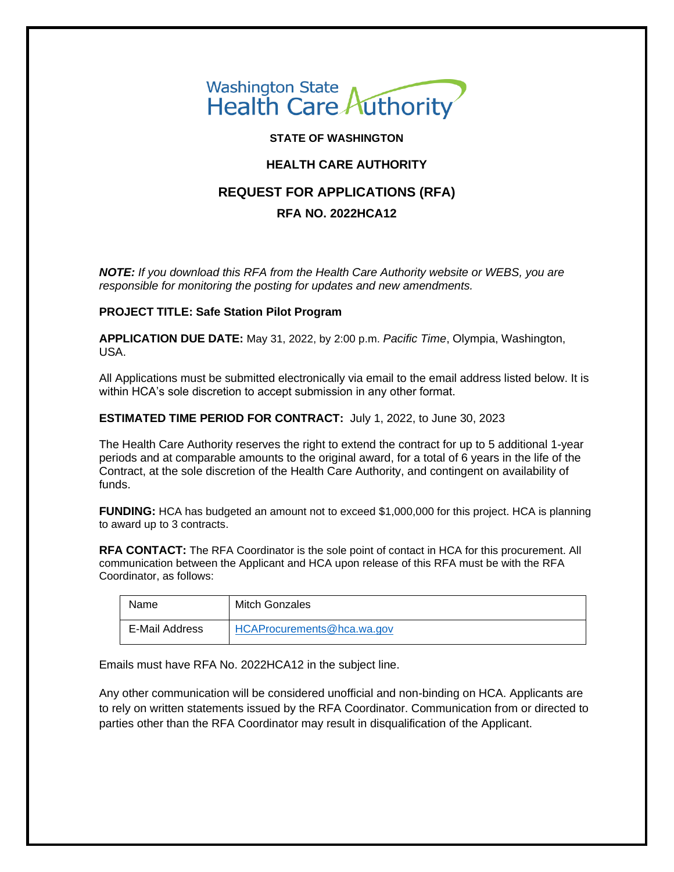

**STATE OF WASHINGTON**

# **HEALTH CARE AUTHORITY**

# **REQUEST FOR APPLICATIONS (RFA)**

# **RFA NO. 2022HCA12**

*NOTE: If you download this RFA from the Health Care Authority website or WEBS, you are responsible for monitoring the posting for updates and new amendments.* 

### **PROJECT TITLE: Safe Station Pilot Program**

**APPLICATION DUE DATE:** May 31, 2022, by 2:00 p.m. *Pacific Time*, Olympia, Washington, USA.

All Applications must be submitted electronically via email to the email address listed below. It is within HCA's sole discretion to accept submission in any other format.

**ESTIMATED TIME PERIOD FOR CONTRACT:** July 1, 2022, to June 30, 2023

The Health Care Authority reserves the right to extend the contract for up to 5 additional 1-year periods and at comparable amounts to the original award, for a total of 6 years in the life of the Contract, at the sole discretion of the Health Care Authority, and contingent on availability of funds.

**FUNDING:** HCA has budgeted an amount not to exceed \$1,000,000 for this project. HCA is planning to award up to 3 contracts.

**RFA CONTACT:** The RFA Coordinator is the sole point of contact in HCA for this procurement. All communication between the Applicant and HCA upon release of this RFA must be with the RFA Coordinator, as follows:

| Name           | Mitch Gonzales             |
|----------------|----------------------------|
| E-Mail Address | HCAProcurements@hca.wa.gov |

Emails must have RFA No. 2022HCA12 in the subject line.

Any other communication will be considered unofficial and non-binding on HCA. Applicants are to rely on written statements issued by the RFA Coordinator. Communication from or directed to parties other than the RFA Coordinator may result in disqualification of the Applicant.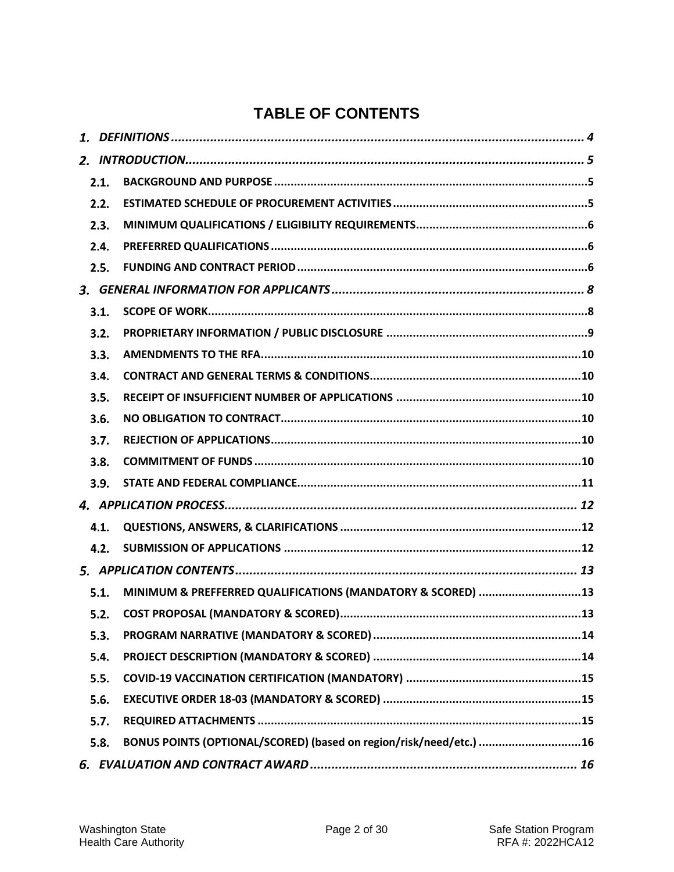# **TABLE OF CONTENTS**

| 2.1. |                                                                    |
|------|--------------------------------------------------------------------|
| 2.2. |                                                                    |
| 2.3. |                                                                    |
| 2.4. |                                                                    |
| 2.5. |                                                                    |
|      |                                                                    |
| 3.1. |                                                                    |
| 3.2. |                                                                    |
| 3.3. |                                                                    |
| 3.4. |                                                                    |
| 3.5. |                                                                    |
| 3.6. |                                                                    |
| 3.7. |                                                                    |
| 3.8. |                                                                    |
| 3.9. |                                                                    |
|      |                                                                    |
| 4.1. |                                                                    |
| 4.2. |                                                                    |
|      |                                                                    |
| 5.1. | MINIMUM & PREFFERRED QUALIFICATIONS (MANDATORY & SCORED) 13        |
| 5.2. |                                                                    |
| 5.3. |                                                                    |
| 5.4. |                                                                    |
| 5.5. |                                                                    |
| 5.6. |                                                                    |
| 5.7. |                                                                    |
| 5.8. | BONUS POINTS (OPTIONAL/SCORED) (based on region/risk/need/etc.) 16 |
|      |                                                                    |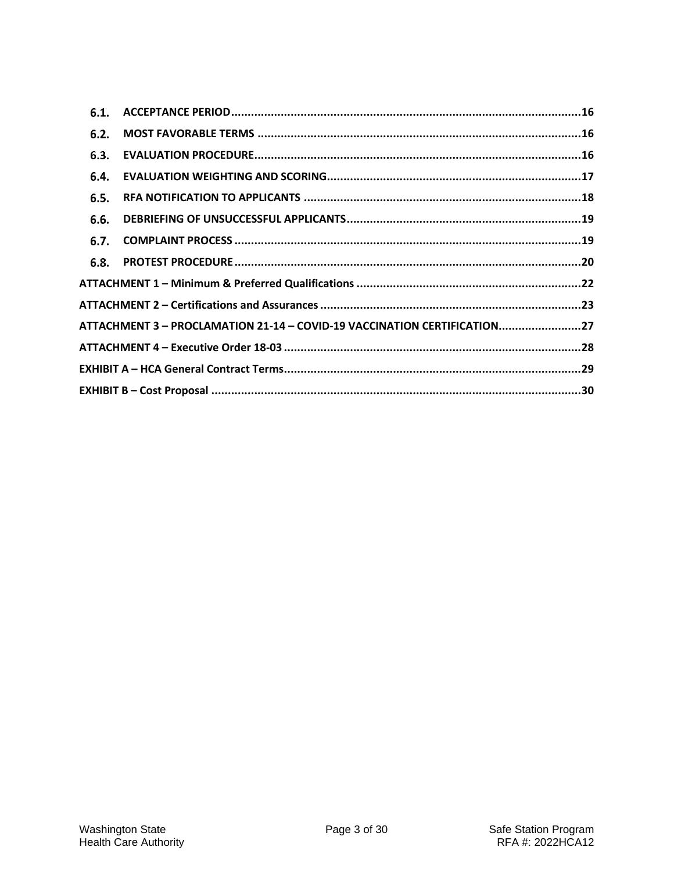| 6.1. |                                                                          |  |
|------|--------------------------------------------------------------------------|--|
| 6.2. |                                                                          |  |
| 6.3. |                                                                          |  |
| 6.4. |                                                                          |  |
| 6.5. |                                                                          |  |
| 6.6. |                                                                          |  |
| 6.7. |                                                                          |  |
| 6.8. |                                                                          |  |
|      |                                                                          |  |
|      |                                                                          |  |
|      | ATTACHMENT 3 - PROCLAMATION 21-14 - COVID-19 VACCINATION CERTIFICATION27 |  |
|      |                                                                          |  |
|      |                                                                          |  |
|      |                                                                          |  |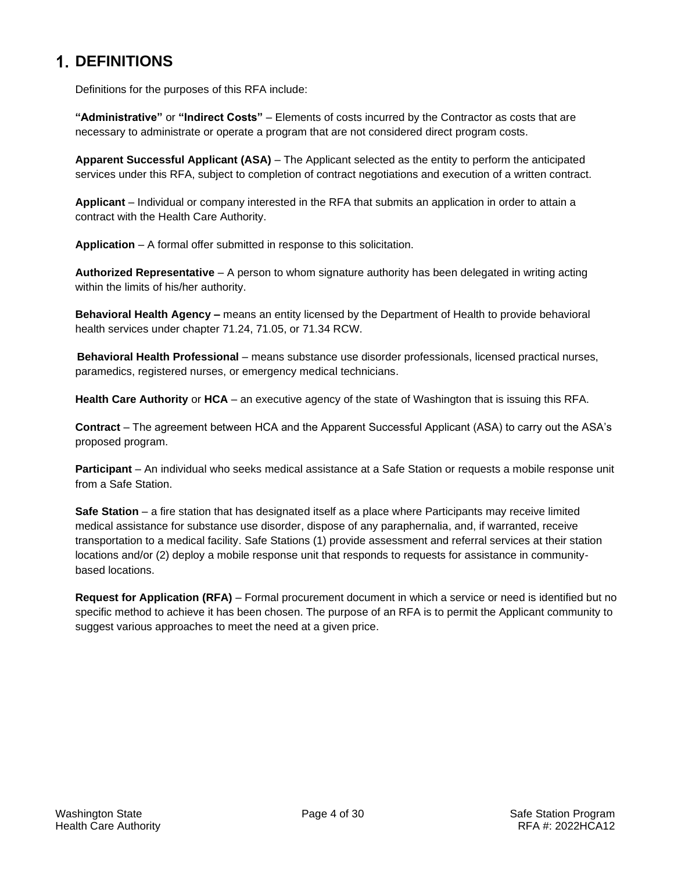# <span id="page-3-0"></span>**1. DEFINITIONS**

Definitions for the purposes of this RFA include:

**"Administrative"** or **"Indirect Costs"** – Elements of costs incurred by the Contractor as costs that are necessary to administrate or operate a program that are not considered direct program costs.

**Apparent Successful Applicant (ASA)** – The Applicant selected as the entity to perform the anticipated services under this RFA, subject to completion of contract negotiations and execution of a written contract.

**Applicant** – Individual or company interested in the RFA that submits an application in order to attain a contract with the Health Care Authority.

**Application** – A formal offer submitted in response to this solicitation.

**Authorized Representative** – A person to whom signature authority has been delegated in writing acting within the limits of his/her authority.

**Behavioral Health Agency –** means an entity licensed by the Department of Health to provide behavioral health services under chapter 71.24, 71.05, or 71.34 RCW.

**Behavioral Health Professional** – means substance use disorder professionals, licensed practical nurses, paramedics, registered nurses, or emergency medical technicians.

**Health Care Authority** or **HCA** – an executive agency of the state of Washington that is issuing this RFA.

**Contract** – The agreement between HCA and the Apparent Successful Applicant (ASA) to carry out the ASA's proposed program.

**Participant** – An individual who seeks medical assistance at a Safe Station or requests a mobile response unit from a Safe Station.

**Safe Station** – a fire station that has designated itself as a place where Participants may receive limited medical assistance for substance use disorder, dispose of any paraphernalia, and, if warranted, receive transportation to a medical facility. Safe Stations (1) provide assessment and referral services at their station locations and/or (2) deploy a mobile response unit that responds to requests for assistance in communitybased locations.

**Request for Application (RFA)** – Formal procurement document in which a service or need is identified but no specific method to achieve it has been chosen. The purpose of an RFA is to permit the Applicant community to suggest various approaches to meet the need at a given price.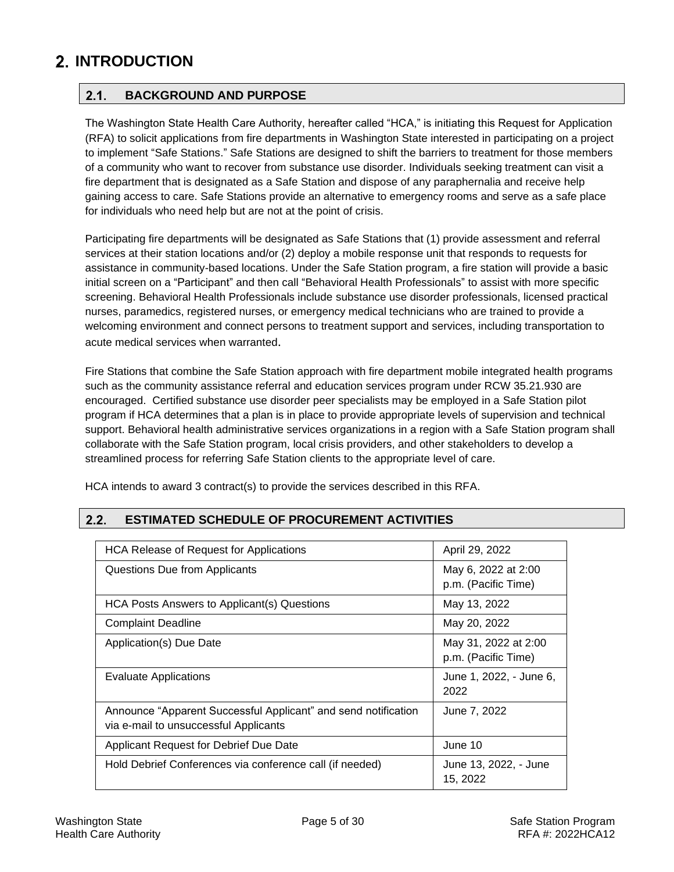# <span id="page-4-1"></span><span id="page-4-0"></span>**INTRODUCTION**

### $2.1.$ **BACKGROUND AND PURPOSE**

The Washington State Health Care Authority, hereafter called "HCA," is initiating this Request for Application (RFA) to solicit applications from fire departments in Washington State interested in participating on a project to implement "Safe Stations." Safe Stations are designed to shift the barriers to treatment for those members of a community who want to recover from substance use disorder. Individuals seeking treatment can visit a fire department that is designated as a Safe Station and dispose of any paraphernalia and receive help gaining access to care. Safe Stations provide an alternative to emergency rooms and serve as a safe place for individuals who need help but are not at the point of crisis.

Participating fire departments will be designated as Safe Stations that (1) provide assessment and referral services at their station locations and/or (2) deploy a mobile response unit that responds to requests for assistance in community-based locations. Under the Safe Station program, a fire station will provide a basic initial screen on a "Participant" and then call "Behavioral Health Professionals" to assist with more specific screening. Behavioral Health Professionals include substance use disorder professionals, licensed practical nurses, paramedics, registered nurses, or emergency medical technicians who are trained to provide a welcoming environment and connect persons to treatment support and services, including transportation to acute medical services when warranted.

Fire Stations that combine the Safe Station approach with fire department mobile integrated health programs such as the community assistance referral and education services program under RCW 35.21.930 are encouraged. Certified substance use disorder peer specialists may be employed in a Safe Station pilot program if HCA determines that a plan is in place to provide appropriate levels of supervision and technical support. Behavioral health administrative services organizations in a region with a Safe Station program shall collaborate with the Safe Station program, local crisis providers, and other stakeholders to develop a streamlined process for referring Safe Station clients to the appropriate level of care.

HCA intends to award 3 contract(s) to provide the services described in this RFA.

| <b>HCA Release of Request for Applications</b>                 | April 29, 2022          |
|----------------------------------------------------------------|-------------------------|
| Questions Due from Applicants                                  | May 6, 2022 at 2:00     |
|                                                                | p.m. (Pacific Time)     |
| HCA Posts Answers to Applicant(s) Questions                    | May 13, 2022            |
| <b>Complaint Deadline</b>                                      | May 20, 2022            |
| Application(s) Due Date                                        | May 31, 2022 at 2:00    |
|                                                                | p.m. (Pacific Time)     |
| Evaluate Applications                                          | June 1, 2022, - June 6, |
|                                                                | 2022                    |
| Announce "Apparent Successful Applicant" and send notification | June 7, 2022            |
| via e-mail to unsuccessful Applicants                          |                         |
| Applicant Request for Debrief Due Date                         | June 10                 |
| Hold Debrief Conferences via conference call (if needed)       | June 13, 2022, - June   |
|                                                                | 15, 2022                |

### <span id="page-4-2"></span> $2.2.$ **ESTIMATED SCHEDULE OF PROCUREMENT ACTIVITIES**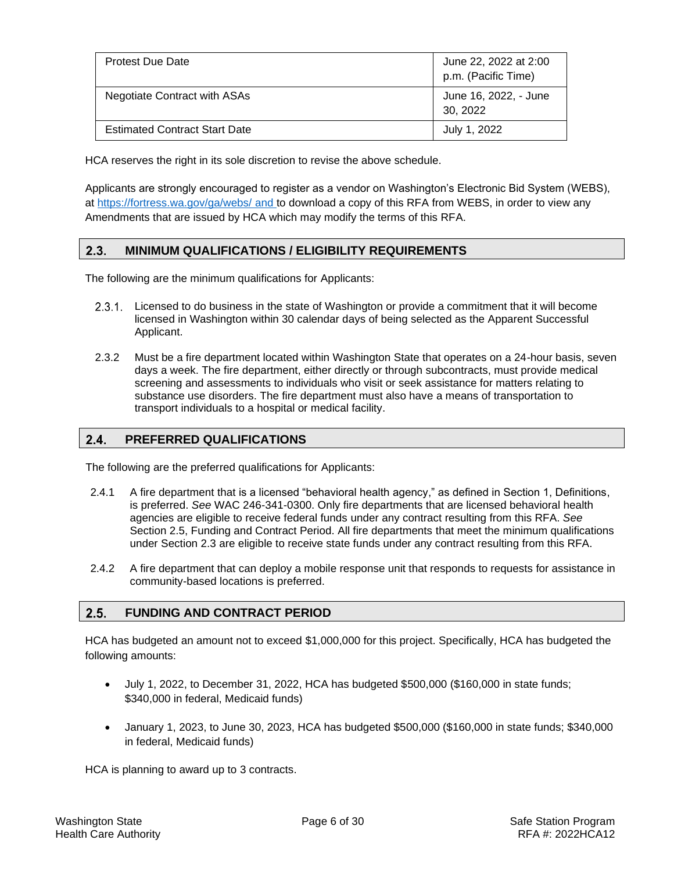| <b>Protest Due Date</b>              | June 22, 2022 at 2:00<br>p.m. (Pacific Time) |
|--------------------------------------|----------------------------------------------|
| <b>Negotiate Contract with ASAs</b>  | June 16, 2022, - June<br>30, 2022            |
| <b>Estimated Contract Start Date</b> | July 1, 2022                                 |

HCA reserves the right in its sole discretion to revise the above schedule.

Applicants are strongly encouraged to register as a vendor on Washington's Electronic Bid System (WEBS), at<https://fortress.wa.gov/ga/webs/> and to download a copy of this RFA from WEBS, in order to view any Amendments that are issued by HCA which may modify the terms of this RFA.

### <span id="page-5-0"></span> $2.3.$ **MINIMUM QUALIFICATIONS / ELIGIBILITY REQUIREMENTS**

The following are the minimum qualifications for Applicants:

- 2.3.1. Licensed to do business in the state of Washington or provide a commitment that it will become licensed in Washington within 30 calendar days of being selected as the Apparent Successful Applicant.
- 2.3.2 Must be a fire department located within Washington State that operates on a 24-hour basis, seven days a week. The fire department, either directly or through subcontracts, must provide medical screening and assessments to individuals who visit or seek assistance for matters relating to substance use disorders. The fire department must also have a means of transportation to transport individuals to a hospital or medical facility.

#### <span id="page-5-1"></span> $2.4.$ **PREFERRED QUALIFICATIONS**

The following are the preferred qualifications for Applicants:

- 2.4.1 A fire department that is a licensed "behavioral health agency," as defined in Section 1, Definitions, is preferred. *See* WAC 246-341-0300. Only fire departments that are licensed behavioral health agencies are eligible to receive federal funds under any contract resulting from this RFA. *See* Section 2.5, Funding and Contract Period. All fire departments that meet the minimum qualifications under Section 2.3 are eligible to receive state funds under any contract resulting from this RFA.
- 2.4.2 A fire department that can deploy a mobile response unit that responds to requests for assistance in community-based locations is preferred.

#### <span id="page-5-2"></span> $2.5.$ **FUNDING AND CONTRACT PERIOD**

HCA has budgeted an amount not to exceed \$1,000,000 for this project. Specifically, HCA has budgeted the following amounts:

- July 1, 2022, to December 31, 2022, HCA has budgeted \$500,000 (\$160,000 in state funds; \$340,000 in federal, Medicaid funds)
- January 1, 2023, to June 30, 2023, HCA has budgeted \$500,000 (\$160,000 in state funds; \$340,000 in federal, Medicaid funds)

HCA is planning to award up to 3 contracts.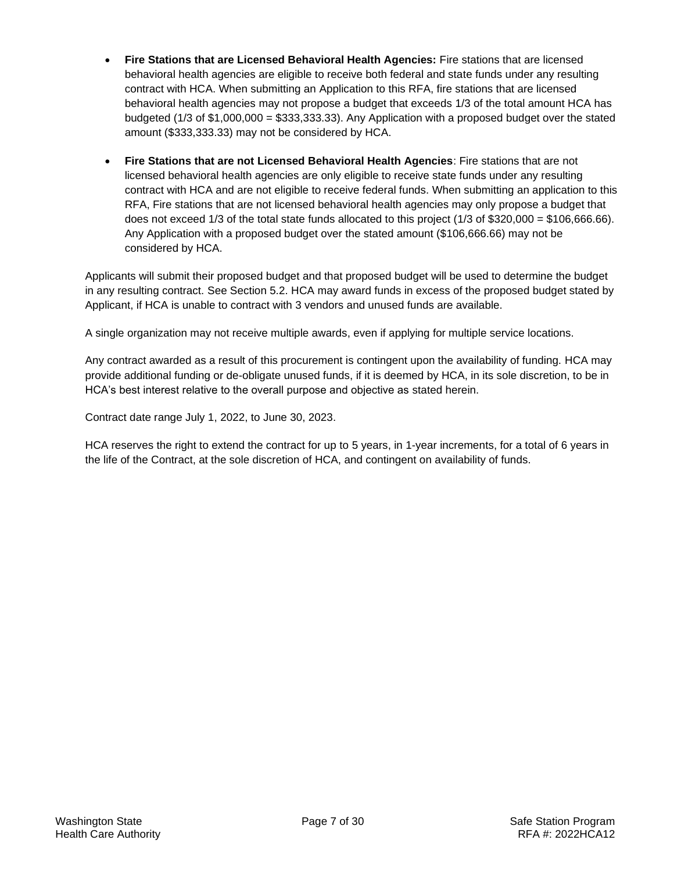- **Fire Stations that are Licensed Behavioral Health Agencies:** Fire stations that are licensed behavioral health agencies are eligible to receive both federal and state funds under any resulting contract with HCA. When submitting an Application to this RFA, fire stations that are licensed behavioral health agencies may not propose a budget that exceeds 1/3 of the total amount HCA has budgeted (1/3 of \$1,000,000 = \$333,333.33). Any Application with a proposed budget over the stated amount (\$333,333.33) may not be considered by HCA.
- **Fire Stations that are not Licensed Behavioral Health Agencies**: Fire stations that are not licensed behavioral health agencies are only eligible to receive state funds under any resulting contract with HCA and are not eligible to receive federal funds. When submitting an application to this RFA, Fire stations that are not licensed behavioral health agencies may only propose a budget that does not exceed  $1/3$  of the total state funds allocated to this project  $(1/3$  of \$320,000 = \$106,666.66). Any Application with a proposed budget over the stated amount (\$106,666.66) may not be considered by HCA.

Applicants will submit their proposed budget and that proposed budget will be used to determine the budget in any resulting contract. See Section 5.2. HCA may award funds in excess of the proposed budget stated by Applicant, if HCA is unable to contract with 3 vendors and unused funds are available.

A single organization may not receive multiple awards, even if applying for multiple service locations.

Any contract awarded as a result of this procurement is contingent upon the availability of funding. HCA may provide additional funding or de-obligate unused funds, if it is deemed by HCA, in its sole discretion, to be in HCA's best interest relative to the overall purpose and objective as stated herein.

Contract date range July 1, 2022, to June 30, 2023.

HCA reserves the right to extend the contract for up to 5 years, in 1-year increments, for a total of 6 years in the life of the Contract, at the sole discretion of HCA, and contingent on availability of funds.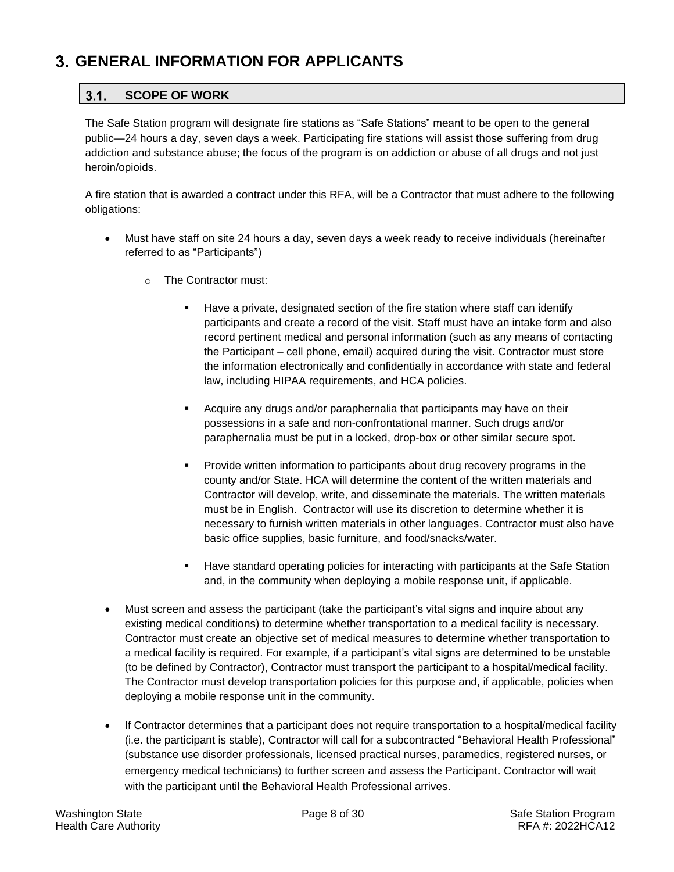# <span id="page-7-1"></span><span id="page-7-0"></span>**GENERAL INFORMATION FOR APPLICANTS**

### $3.1.$ **SCOPE OF WORK**

The Safe Station program will designate fire stations as "Safe Stations" meant to be open to the general public—24 hours a day, seven days a week. Participating fire stations will assist those suffering from drug addiction and substance abuse; the focus of the program is on addiction or abuse of all drugs and not just heroin/opioids.

A fire station that is awarded a contract under this RFA, will be a Contractor that must adhere to the following obligations:

- Must have staff on site 24 hours a day, seven days a week ready to receive individuals (hereinafter referred to as "Participants")
	- o The Contractor must:
		- Have a private, designated section of the fire station where staff can identify participants and create a record of the visit. Staff must have an intake form and also record pertinent medical and personal information (such as any means of contacting the Participant – cell phone, email) acquired during the visit. Contractor must store the information electronically and confidentially in accordance with state and federal law, including HIPAA requirements, and HCA policies.
		- Acquire any drugs and/or paraphernalia that participants may have on their possessions in a safe and non-confrontational manner. Such drugs and/or paraphernalia must be put in a locked, drop-box or other similar secure spot.
		- **•** Provide written information to participants about drug recovery programs in the county and/or State. HCA will determine the content of the written materials and Contractor will develop, write, and disseminate the materials. The written materials must be in English. Contractor will use its discretion to determine whether it is necessary to furnish written materials in other languages. Contractor must also have basic office supplies, basic furniture, and food/snacks/water.
		- Have standard operating policies for interacting with participants at the Safe Station and, in the community when deploying a mobile response unit, if applicable.
- Must screen and assess the participant (take the participant's vital signs and inquire about any existing medical conditions) to determine whether transportation to a medical facility is necessary. Contractor must create an objective set of medical measures to determine whether transportation to a medical facility is required. For example, if a participant's vital signs are determined to be unstable (to be defined by Contractor), Contractor must transport the participant to a hospital/medical facility. The Contractor must develop transportation policies for this purpose and, if applicable, policies when deploying a mobile response unit in the community.
- If Contractor determines that a participant does not require transportation to a hospital/medical facility (i.e. the participant is stable), Contractor will call for a subcontracted "Behavioral Health Professional" (substance use disorder professionals, licensed practical nurses, paramedics, registered nurses, or emergency medical technicians) to further screen and assess the Participant. Contractor will wait with the participant until the Behavioral Health Professional arrives.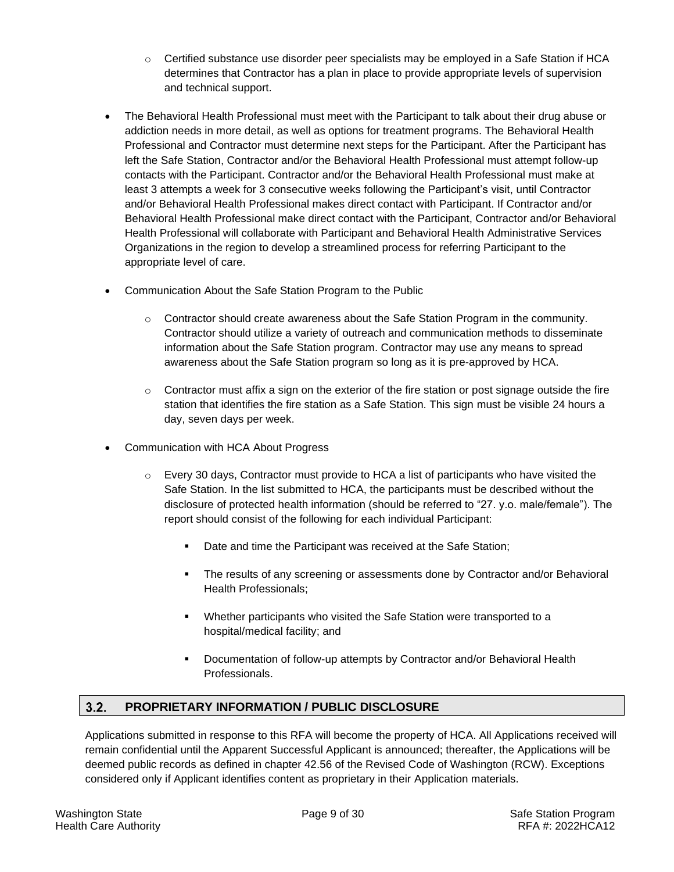- $\circ$  Certified substance use disorder peer specialists may be employed in a Safe Station if HCA determines that Contractor has a plan in place to provide appropriate levels of supervision and technical support.
- The Behavioral Health Professional must meet with the Participant to talk about their drug abuse or addiction needs in more detail, as well as options for treatment programs. The Behavioral Health Professional and Contractor must determine next steps for the Participant. After the Participant has left the Safe Station, Contractor and/or the Behavioral Health Professional must attempt follow-up contacts with the Participant. Contractor and/or the Behavioral Health Professional must make at least 3 attempts a week for 3 consecutive weeks following the Participant's visit, until Contractor and/or Behavioral Health Professional makes direct contact with Participant. If Contractor and/or Behavioral Health Professional make direct contact with the Participant, Contractor and/or Behavioral Health Professional will collaborate with Participant and Behavioral Health Administrative Services Organizations in the region to develop a streamlined process for referring Participant to the appropriate level of care.
- Communication About the Safe Station Program to the Public
	- $\circ$  Contractor should create awareness about the Safe Station Program in the community. Contractor should utilize a variety of outreach and communication methods to disseminate information about the Safe Station program. Contractor may use any means to spread awareness about the Safe Station program so long as it is pre-approved by HCA.
	- $\circ$  Contractor must affix a sign on the exterior of the fire station or post signage outside the fire station that identifies the fire station as a Safe Station. This sign must be visible 24 hours a day, seven days per week.
- Communication with HCA About Progress
	- $\circ$  Every 30 days, Contractor must provide to HCA a list of participants who have visited the Safe Station. In the list submitted to HCA, the participants must be described without the disclosure of protected health information (should be referred to "27. y.o. male/female"). The report should consist of the following for each individual Participant:
		- Date and time the Participant was received at the Safe Station;
		- The results of any screening or assessments done by Contractor and/or Behavioral Health Professionals;
		- Whether participants who visited the Safe Station were transported to a hospital/medical facility; and
		- Documentation of follow-up attempts by Contractor and/or Behavioral Health Professionals.

### <span id="page-8-0"></span> $3.2.$ **PROPRIETARY INFORMATION / PUBLIC DISCLOSURE**

Applications submitted in response to this RFA will become the property of HCA. All Applications received will remain confidential until the Apparent Successful Applicant is announced; thereafter, the Applications will be deemed public records as defined in chapter 42.56 of the Revised Code of Washington (RCW). Exceptions considered only if Applicant identifies content as proprietary in their Application materials.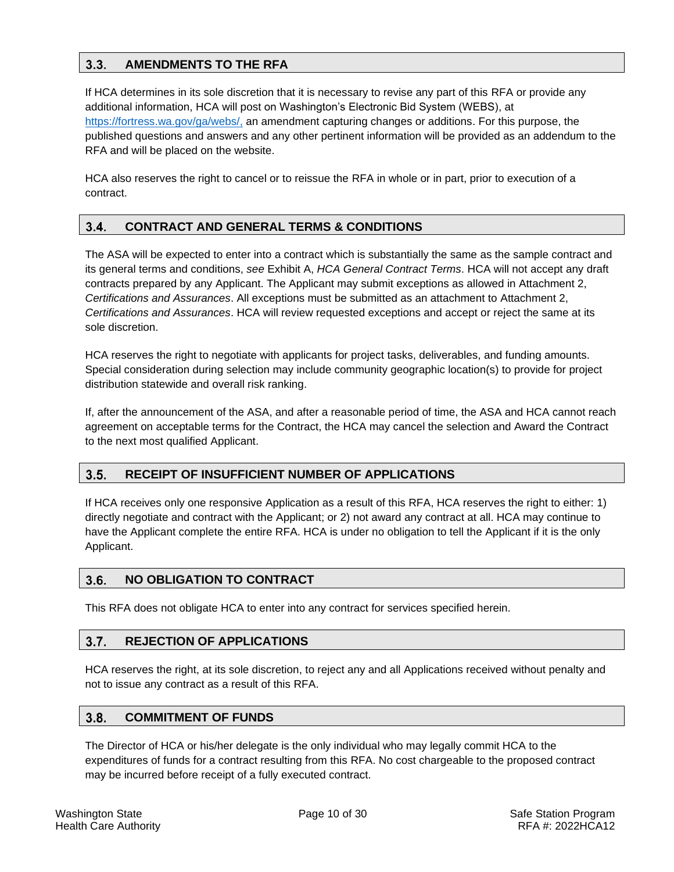### <span id="page-9-0"></span> $3.3.$ **AMENDMENTS TO THE RFA**

If HCA determines in its sole discretion that it is necessary to revise any part of this RFA or provide any additional information, HCA will post on Washington's Electronic Bid System (WEBS), at [https://fortress.wa.gov/ga/webs/,](https://fortress.wa.gov/ga/webs/) an amendment capturing changes or additions. For this purpose, the published questions and answers and any other pertinent information will be provided as an addendum to the RFA and will be placed on the website.

HCA also reserves the right to cancel or to reissue the RFA in whole or in part, prior to execution of a contract.

### <span id="page-9-1"></span> $3.4.$ **CONTRACT AND GENERAL TERMS & CONDITIONS**

The ASA will be expected to enter into a contract which is substantially the same as the sample contract and its general terms and conditions, *see* Exhibit A, *HCA General Contract Terms*. HCA will not accept any draft contracts prepared by any Applicant. The Applicant may submit exceptions as allowed in Attachment 2, *Certifications and Assurances*. All exceptions must be submitted as an attachment to Attachment 2, *Certifications and Assurances*. HCA will review requested exceptions and accept or reject the same at its sole discretion.

HCA reserves the right to negotiate with applicants for project tasks, deliverables, and funding amounts. Special consideration during selection may include community geographic location(s) to provide for project distribution statewide and overall risk ranking.

If, after the announcement of the ASA, and after a reasonable period of time, the ASA and HCA cannot reach agreement on acceptable terms for the Contract, the HCA may cancel the selection and Award the Contract to the next most qualified Applicant.

#### <span id="page-9-2"></span> $3.5.$ **RECEIPT OF INSUFFICIENT NUMBER OF APPLICATIONS**

If HCA receives only one responsive Application as a result of this RFA, HCA reserves the right to either: 1) directly negotiate and contract with the Applicant; or 2) not award any contract at all. HCA may continue to have the Applicant complete the entire RFA. HCA is under no obligation to tell the Applicant if it is the only Applicant.

#### <span id="page-9-3"></span> $3.6.$ **NO OBLIGATION TO CONTRACT**

This RFA does not obligate HCA to enter into any contract for services specified herein.

#### <span id="page-9-4"></span> $3.7.$ **REJECTION OF APPLICATIONS**

HCA reserves the right, at its sole discretion, to reject any and all Applications received without penalty and not to issue any contract as a result of this RFA.

#### <span id="page-9-5"></span> $3.8.$ **COMMITMENT OF FUNDS**

The Director of HCA or his/her delegate is the only individual who may legally commit HCA to the expenditures of funds for a contract resulting from this RFA. No cost chargeable to the proposed contract may be incurred before receipt of a fully executed contract.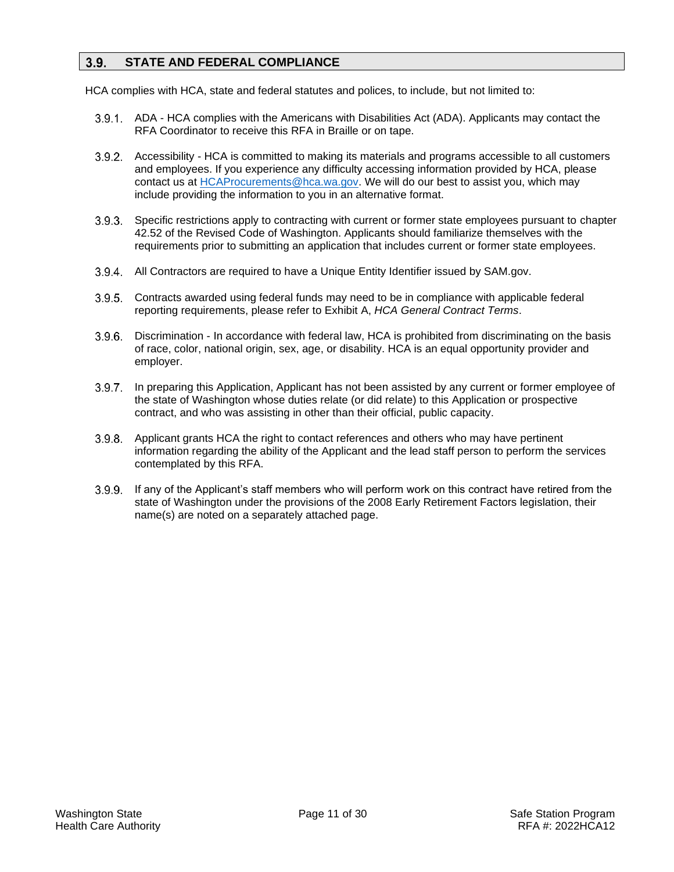#### <span id="page-10-0"></span> $3.9.$ **STATE AND FEDERAL COMPLIANCE**

HCA complies with HCA, state and federal statutes and polices, to include, but not limited to:

- 3.9.1. ADA HCA complies with the Americans with Disabilities Act (ADA). Applicants may contact the RFA Coordinator to receive this RFA in Braille or on tape.
- Accessibility HCA is committed to making its materials and programs accessible to all customers and employees. If you experience any difficulty accessing information provided by HCA, please contact us at **HCAProcurements@hca.wa.gov**. We will do our best to assist you, which may include providing the information to you in an alternative format.
- Specific restrictions apply to contracting with current or former state employees pursuant to chapter 42.52 of the Revised Code of Washington. Applicants should familiarize themselves with the requirements prior to submitting an application that includes current or former state employees.
- 3.9.4. All Contractors are required to have a Unique Entity Identifier issued by SAM.gov.
- Contracts awarded using federal funds may need to be in compliance with applicable federal reporting requirements, please refer to Exhibit A, *HCA General Contract Terms*.
- 3.9.6. Discrimination In accordance with federal law, HCA is prohibited from discriminating on the basis of race, color, national origin, sex, age, or disability. HCA is an equal opportunity provider and employer.
- 3.9.7. In preparing this Application, Applicant has not been assisted by any current or former employee of the state of Washington whose duties relate (or did relate) to this Application or prospective contract, and who was assisting in other than their official, public capacity.
- Applicant grants HCA the right to contact references and others who may have pertinent information regarding the ability of the Applicant and the lead staff person to perform the services contemplated by this RFA.
- If any of the Applicant's staff members who will perform work on this contract have retired from the state of Washington under the provisions of the 2008 Early Retirement Factors legislation, their name(s) are noted on a separately attached page.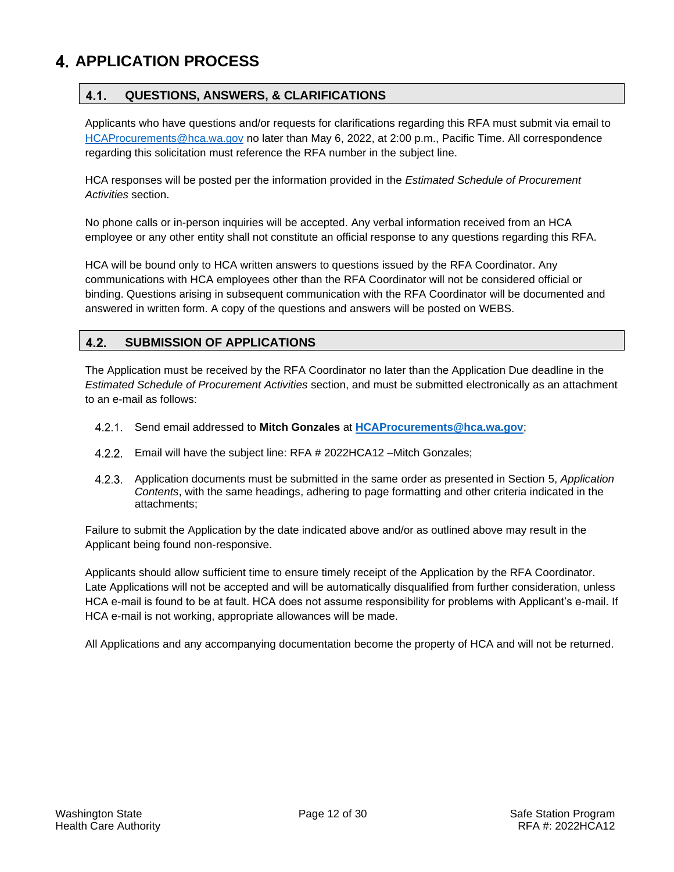# <span id="page-11-1"></span><span id="page-11-0"></span>**APPLICATION PROCESS**

### $4.1.$ **QUESTIONS, ANSWERS, & CLARIFICATIONS**

Applicants who have questions and/or requests for clarifications regarding this RFA must submit via email to [HCAProcurements@hca.wa.gov](mailto:HCAProcurements@hca.wa.gov) no later than May 6, 2022, at 2:00 p.m., Pacific Time. All correspondence regarding this solicitation must reference the RFA number in the subject line.

HCA responses will be posted per the information provided in the *Estimated Schedule of Procurement Activities* section.

No phone calls or in-person inquiries will be accepted. Any verbal information received from an HCA employee or any other entity shall not constitute an official response to any questions regarding this RFA.

HCA will be bound only to HCA written answers to questions issued by the RFA Coordinator. Any communications with HCA employees other than the RFA Coordinator will not be considered official or binding. Questions arising in subsequent communication with the RFA Coordinator will be documented and answered in written form. A copy of the questions and answers will be posted on WEBS.

### <span id="page-11-2"></span> $4.2.$ **SUBMISSION OF APPLICATIONS**

The Application must be received by the RFA Coordinator no later than the Application Due deadline in the *Estimated Schedule of Procurement Activities* section, and must be submitted electronically as an attachment to an e-mail as follows:

- Send email addressed to **Mitch Gonzales** at **[HCAProcurements@hca.wa.gov](mailto:HCAProcurements@hca.wa.gov)**;
- Email will have the subject line: RFA # 2022HCA12 –Mitch Gonzales;
- Application documents must be submitted in the same order as presented in Section 5, *Application Contents*, with the same headings, adhering to page formatting and other criteria indicated in the attachments;

Failure to submit the Application by the date indicated above and/or as outlined above may result in the Applicant being found non-responsive.

Applicants should allow sufficient time to ensure timely receipt of the Application by the RFA Coordinator. Late Applications will not be accepted and will be automatically disqualified from further consideration, unless HCA e-mail is found to be at fault. HCA does not assume responsibility for problems with Applicant's e-mail. If HCA e-mail is not working, appropriate allowances will be made.

All Applications and any accompanying documentation become the property of HCA and will not be returned.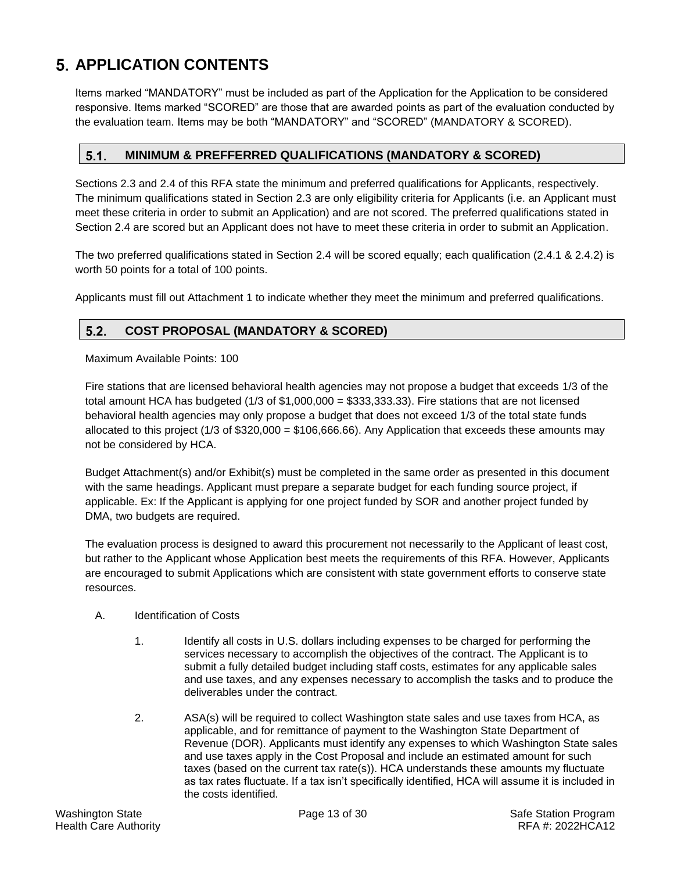# <span id="page-12-0"></span>**APPLICATION CONTENTS**

Items marked "MANDATORY" must be included as part of the Application for the Application to be considered responsive. Items marked "SCORED" are those that are awarded points as part of the evaluation conducted by the evaluation team. Items may be both "MANDATORY" and "SCORED" (MANDATORY & SCORED).

#### <span id="page-12-1"></span> $5.1.$ **MINIMUM & PREFFERRED QUALIFICATIONS (MANDATORY & SCORED)**

Sections 2.3 and 2.4 of this RFA state the minimum and preferred qualifications for Applicants, respectively. The minimum qualifications stated in Section 2.3 are only eligibility criteria for Applicants (i.e. an Applicant must meet these criteria in order to submit an Application) and are not scored. The preferred qualifications stated in Section 2.4 are scored but an Applicant does not have to meet these criteria in order to submit an Application.

The two preferred qualifications stated in Section 2.4 will be scored equally; each qualification (2.4.1 & 2.4.2) is worth 50 points for a total of 100 points.

Applicants must fill out Attachment 1 to indicate whether they meet the minimum and preferred qualifications.

### <span id="page-12-2"></span> $5.2.$ **COST PROPOSAL (MANDATORY & SCORED)**

Maximum Available Points: 100

Fire stations that are licensed behavioral health agencies may not propose a budget that exceeds 1/3 of the total amount HCA has budgeted (1/3 of \$1,000,000 = \$333,333.33). Fire stations that are not licensed behavioral health agencies may only propose a budget that does not exceed 1/3 of the total state funds allocated to this project (1/3 of \$320,000 = \$106,666.66). Any Application that exceeds these amounts may not be considered by HCA.

Budget Attachment(s) and/or Exhibit(s) must be completed in the same order as presented in this document with the same headings. Applicant must prepare a separate budget for each funding source project, if applicable. Ex: If the Applicant is applying for one project funded by SOR and another project funded by DMA, two budgets are required.

The evaluation process is designed to award this procurement not necessarily to the Applicant of least cost, but rather to the Applicant whose Application best meets the requirements of this RFA. However, Applicants are encouraged to submit Applications which are consistent with state government efforts to conserve state resources.

- A. Identification of Costs
	- 1. Identify all costs in U.S. dollars including expenses to be charged for performing the services necessary to accomplish the objectives of the contract. The Applicant is to submit a fully detailed budget including staff costs, estimates for any applicable sales and use taxes, and any expenses necessary to accomplish the tasks and to produce the deliverables under the contract.
	- 2. ASA(s) will be required to collect Washington state sales and use taxes from HCA, as applicable, and for remittance of payment to the Washington State Department of Revenue (DOR). Applicants must identify any expenses to which Washington State sales and use taxes apply in the Cost Proposal and include an estimated amount for such taxes (based on the current tax rate(s)). HCA understands these amounts my fluctuate as tax rates fluctuate. If a tax isn't specifically identified, HCA will assume it is included in the costs identified.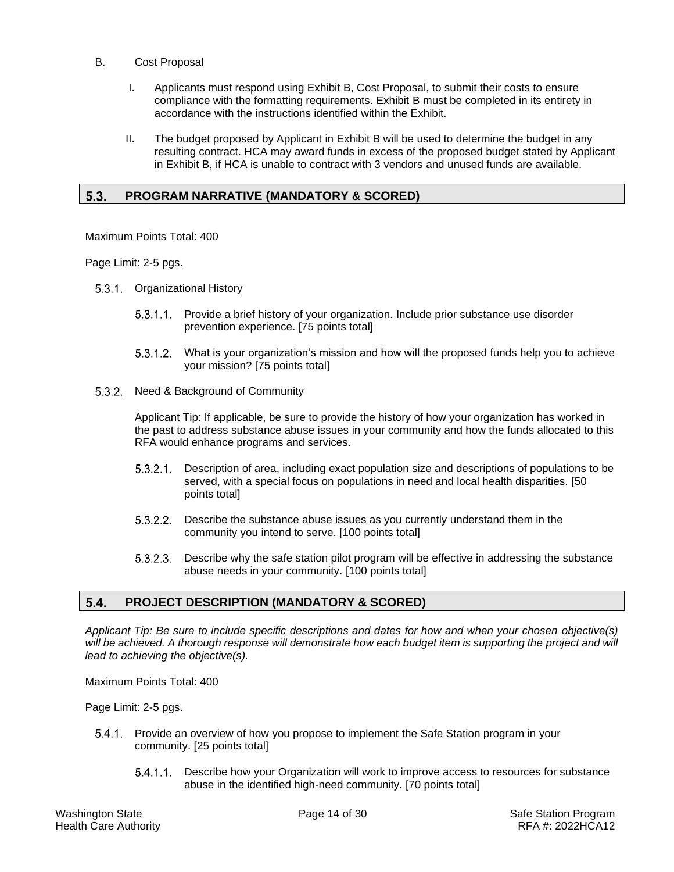- B. Cost Proposal
	- I. Applicants must respond using Exhibit B, Cost Proposal, to submit their costs to ensure compliance with the formatting requirements. Exhibit B must be completed in its entirety in accordance with the instructions identified within the Exhibit.
	- II. The budget proposed by Applicant in Exhibit B will be used to determine the budget in any resulting contract. HCA may award funds in excess of the proposed budget stated by Applicant in Exhibit B, if HCA is unable to contract with 3 vendors and unused funds are available.

#### <span id="page-13-0"></span> $5.3.$ **PROGRAM NARRATIVE (MANDATORY & SCORED)**

Maximum Points Total: 400

Page Limit: 2-5 pgs.

- 5.3.1 Organizational History
	- 5.3.1.1. Provide a brief history of your organization. Include prior substance use disorder prevention experience. [75 points total]
	- What is your organization's mission and how will the proposed funds help you to achieve your mission? [75 points total]
- 5.3.2. Need & Background of Community

Applicant Tip: If applicable, be sure to provide the history of how your organization has worked in the past to address substance abuse issues in your community and how the funds allocated to this RFA would enhance programs and services.

- Description of area, including exact population size and descriptions of populations to be served, with a special focus on populations in need and local health disparities. [50 points total]
- 5.3.2.2. Describe the substance abuse issues as you currently understand them in the community you intend to serve. [100 points total]
- $5.3.2.3.$ Describe why the safe station pilot program will be effective in addressing the substance abuse needs in your community. [100 points total]

#### <span id="page-13-1"></span> $5.4.$ **PROJECT DESCRIPTION (MANDATORY & SCORED)**

*Applicant Tip: Be sure to include specific descriptions and dates for how and when your chosen objective(s) will be achieved. A thorough response will demonstrate how each budget item is supporting the project and will lead to achieving the objective(s).* 

Maximum Points Total: 400

Page Limit: 2-5 pgs.

- 5.4.1. Provide an overview of how you propose to implement the Safe Station program in your community. [25 points total]
	- 5.4.1.1. Describe how your Organization will work to improve access to resources for substance abuse in the identified high-need community. [70 points total]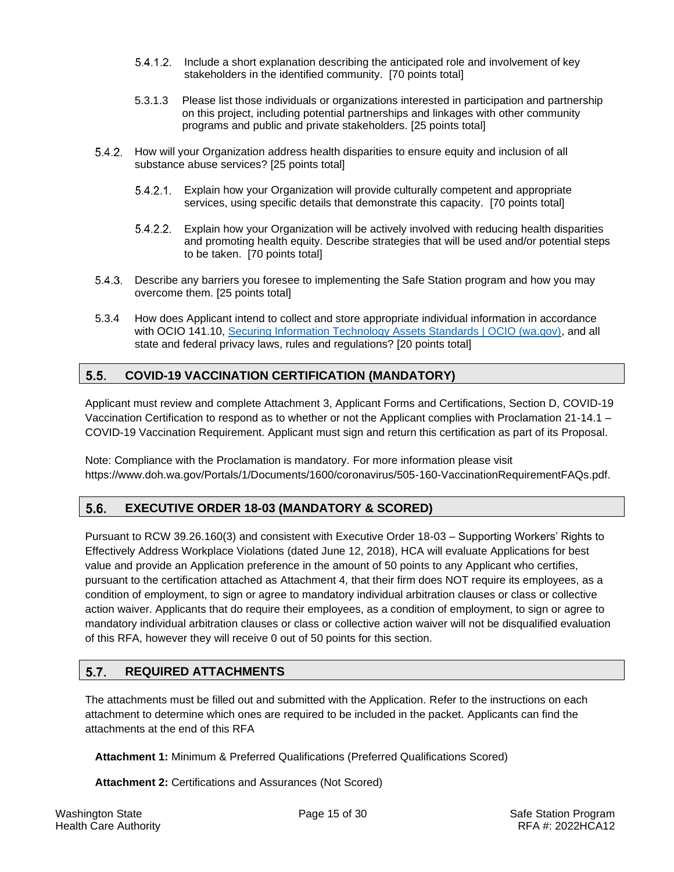- 5.4.1.2. Include a short explanation describing the anticipated role and involvement of key stakeholders in the identified community. [70 points total]
- 5.3.1.3 Please list those individuals or organizations interested in participation and partnership on this project, including potential partnerships and linkages with other community programs and public and private stakeholders. [25 points total]
- 5.4.2. How will your Organization address health disparities to ensure equity and inclusion of all substance abuse services? [25 points total]
	- Explain how your Organization will provide culturally competent and appropriate services, using specific details that demonstrate this capacity. [70 points total]
	- 5.4.2.2. Explain how your Organization will be actively involved with reducing health disparities and promoting health equity. Describe strategies that will be used and/or potential steps to be taken. [70 points total]
- Describe any barriers you foresee to implementing the Safe Station program and how you may overcome them. [25 points total]
- 5.3.4 How does Applicant intend to collect and store appropriate individual information in accordance with OCIO 141.10, [Securing Information Technology Assets Standards | OCIO \(wa.gov\),](https://ocio.wa.gov/policy/securing-information-technology-assets-standards) and all state and federal privacy laws, rules and regulations? [20 points total]

### <span id="page-14-0"></span> $5.5.$ **COVID-19 VACCINATION CERTIFICATION (MANDATORY)**

Applicant must review and complete Attachment 3, Applicant Forms and Certifications, Section D, COVID-19 Vaccination Certification to respond as to whether or not the Applicant complies with Proclamation 21-14.1 – COVID-19 Vaccination Requirement. Applicant must sign and return this certification as part of its Proposal.

Note: Compliance with the Proclamation is mandatory. For more information please visit [https://www.doh.wa.gov/Portals/1/Documents/1600/coronavirus/505-160-VaccinationRequirementFAQs.pdf.](https://www.doh.wa.gov/Portals/1/Documents/1600/coronavirus/505-160-VaccinationRequirementFAQs.pdf)

### <span id="page-14-1"></span> $5.6.$ **EXECUTIVE ORDER 18-03 (MANDATORY & SCORED)**

Pursuant to RCW 39.26.160(3) and consistent with Executive Order 18-03 – Supporting Workers' Rights to Effectively Address Workplace Violations (dated June 12, 2018), HCA will evaluate Applications for best value and provide an Application preference in the amount of 50 points to any Applicant who certifies, pursuant to the certification attached as Attachment 4, that their firm does NOT require its employees, as a condition of employment, to sign or agree to mandatory individual arbitration clauses or class or collective action waiver. Applicants that do require their employees, as a condition of employment, to sign or agree to mandatory individual arbitration clauses or class or collective action waiver will not be disqualified evaluation of this RFA, however they will receive 0 out of 50 points for this section.

### <span id="page-14-2"></span> $5.7.$ **REQUIRED ATTACHMENTS**

The attachments must be filled out and submitted with the Application. Refer to the instructions on each attachment to determine which ones are required to be included in the packet. Applicants can find the attachments at the end of this RFA

**Attachment 1:** Minimum & Preferred Qualifications (Preferred Qualifications Scored)

**Attachment 2:** Certifications and Assurances (Not Scored)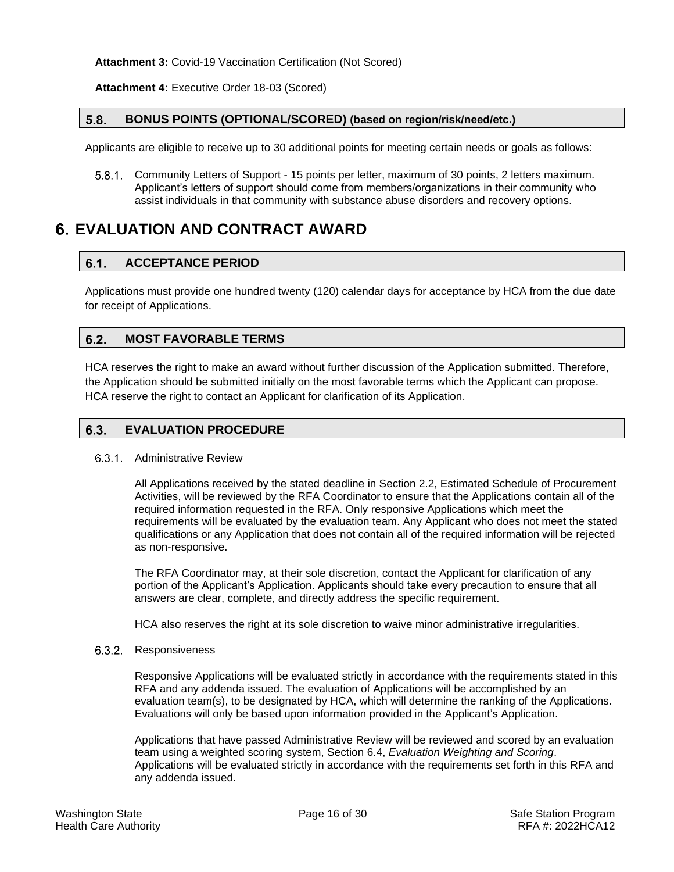**Attachment 3:** Covid-19 Vaccination Certification (Not Scored)

**Attachment 4:** Executive Order 18-03 (Scored)

#### <span id="page-15-0"></span> $5.8.$ **BONUS POINTS (OPTIONAL/SCORED) (based on region/risk/need/etc.)**

Applicants are eligible to receive up to 30 additional points for meeting certain needs or goals as follows:

5.8.1. Community Letters of Support - 15 points per letter, maximum of 30 points, 2 letters maximum. Applicant's letters of support should come from members/organizations in their community who assist individuals in that community with substance abuse disorders and recovery options.

# <span id="page-15-2"></span><span id="page-15-1"></span>**EVALUATION AND CONTRACT AWARD**

#### $6.1.$ **ACCEPTANCE PERIOD**

Applications must provide one hundred twenty (120) calendar days for acceptance by HCA from the due date for receipt of Applications.

#### <span id="page-15-3"></span> $6.2.$ **MOST FAVORABLE TERMS**

HCA reserves the right to make an award without further discussion of the Application submitted. Therefore, the Application should be submitted initially on the most favorable terms which the Applicant can propose. HCA reserve the right to contact an Applicant for clarification of its Application.

#### <span id="page-15-4"></span> $6.3.$ **EVALUATION PROCEDURE**

## 6.3.1. Administrative Review

All Applications received by the stated deadline in Section 2.2, Estimated Schedule of Procurement Activities, will be reviewed by the RFA Coordinator to ensure that the Applications contain all of the required information requested in the RFA. Only responsive Applications which meet the requirements will be evaluated by the evaluation team. Any Applicant who does not meet the stated qualifications or any Application that does not contain all of the required information will be rejected as non-responsive.

The RFA Coordinator may, at their sole discretion, contact the Applicant for clarification of any portion of the Applicant's Application. Applicants should take every precaution to ensure that all answers are clear, complete, and directly address the specific requirement.

HCA also reserves the right at its sole discretion to waive minor administrative irregularities.

### 6.3.2. Responsiveness

Responsive Applications will be evaluated strictly in accordance with the requirements stated in this RFA and any addenda issued. The evaluation of Applications will be accomplished by an evaluation team(s), to be designated by HCA, which will determine the ranking of the Applications. Evaluations will only be based upon information provided in the Applicant's Application.

Applications that have passed Administrative Review will be reviewed and scored by an evaluation team using a weighted scoring system, Section [6.4,](#page-16-0) *Evaluation Weighting and Scoring*. Applications will be evaluated strictly in accordance with the requirements set forth in this RFA and any addenda issued.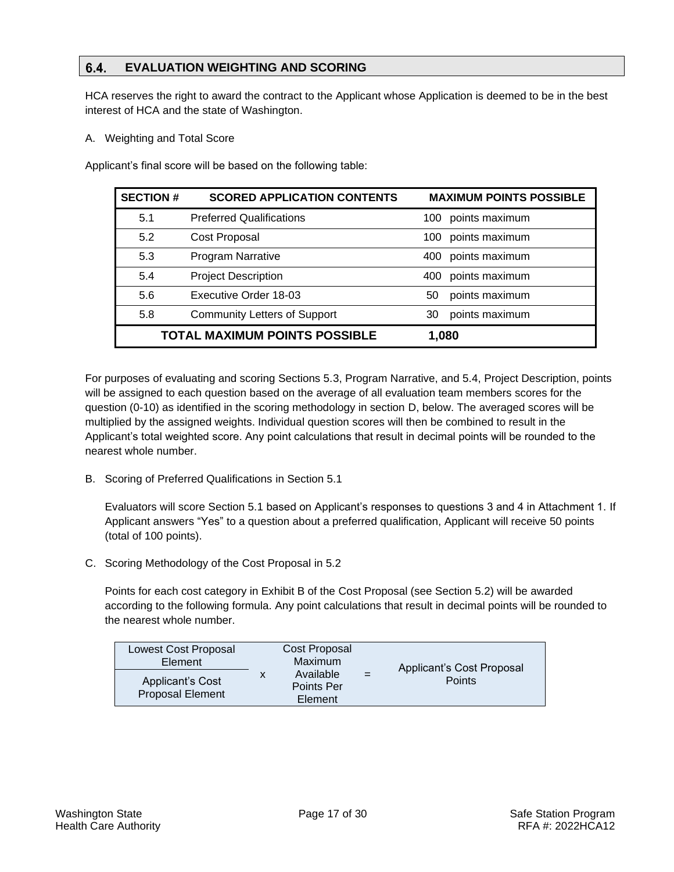### <span id="page-16-0"></span>6.4. **EVALUATION WEIGHTING AND SCORING**

HCA reserves the right to award the contract to the Applicant whose Application is deemed to be in the best interest of HCA and the state of Washington.

A. Weighting and Total Score

Applicant's final score will be based on the following table:

| <b>SECTION #</b> | <b>SCORED APPLICATION CONTENTS</b>   | <b>MAXIMUM POINTS POSSIBLE</b> |
|------------------|--------------------------------------|--------------------------------|
| 5.1              | <b>Preferred Qualifications</b>      | 100 points maximum             |
| 5.2              | Cost Proposal                        | points maximum<br>100          |
| 5.3              | <b>Program Narrative</b>             | points maximum<br>400          |
| 5.4              | <b>Project Description</b>           | points maximum<br>400          |
| 5.6              | Executive Order 18-03                | points maximum<br>50           |
| 5.8              | <b>Community Letters of Support</b>  | points maximum<br>30           |
|                  | <b>TOTAL MAXIMUM POINTS POSSIBLE</b> | 1,080                          |

For purposes of evaluating and scoring Sections 5.3, Program Narrative, and 5.4, Project Description, points will be assigned to each question based on the average of all evaluation team members scores for the question (0-10) as identified in the scoring methodology in section D, below. The averaged scores will be multiplied by the assigned weights. Individual question scores will then be combined to result in the Applicant's total weighted score. Any point calculations that result in decimal points will be rounded to the nearest whole number.

B. Scoring of Preferred Qualifications in Section 5.1

Evaluators will score Section 5.1 based on Applicant's responses to questions 3 and 4 in Attachment 1. If Applicant answers "Yes" to a question about a preferred qualification, Applicant will receive 50 points (total of 100 points).

C. Scoring Methodology of the Cost Proposal in 5.2

Points for each cost category in Exhibit B of the Cost Proposal (see Section 5.2) will be awarded according to the following formula. Any point calculations that result in decimal points will be rounded to the nearest whole number.

| <b>Lowest Cost Proposal</b><br>Element      |   | Cost Proposal<br>Maximum           |     | Applicant's Cost Proposal |
|---------------------------------------------|---|------------------------------------|-----|---------------------------|
| Applicant's Cost<br><b>Proposal Element</b> | x | Available<br>Points Per<br>Element | $=$ | <b>Points</b>             |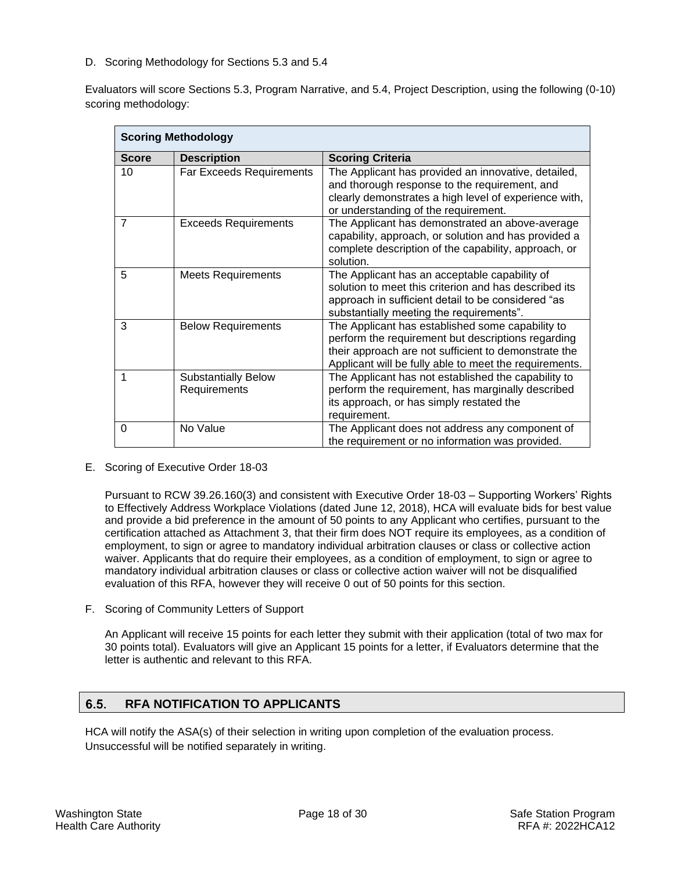D. Scoring Methodology for Sections 5.3 and 5.4

Evaluators will score Sections 5.3, Program Narrative, and 5.4, Project Description, using the following (0-10) scoring methodology:

| <b>Scoring Methodology</b> |                                            |                                                                                                                                                                                                                          |  |  |
|----------------------------|--------------------------------------------|--------------------------------------------------------------------------------------------------------------------------------------------------------------------------------------------------------------------------|--|--|
| <b>Score</b>               | <b>Description</b>                         | <b>Scoring Criteria</b>                                                                                                                                                                                                  |  |  |
| 10                         | <b>Far Exceeds Requirements</b>            | The Applicant has provided an innovative, detailed,<br>and thorough response to the requirement, and<br>clearly demonstrates a high level of experience with,<br>or understanding of the requirement.                    |  |  |
| $\overline{7}$             | <b>Exceeds Requirements</b>                | The Applicant has demonstrated an above-average<br>capability, approach, or solution and has provided a<br>complete description of the capability, approach, or<br>solution.                                             |  |  |
| 5                          | <b>Meets Requirements</b>                  | The Applicant has an acceptable capability of<br>solution to meet this criterion and has described its<br>approach in sufficient detail to be considered "as<br>substantially meeting the requirements".                 |  |  |
| 3                          | <b>Below Requirements</b>                  | The Applicant has established some capability to<br>perform the requirement but descriptions regarding<br>their approach are not sufficient to demonstrate the<br>Applicant will be fully able to meet the requirements. |  |  |
| 1                          | <b>Substantially Below</b><br>Requirements | The Applicant has not established the capability to<br>perform the requirement, has marginally described<br>its approach, or has simply restated the<br>requirement.                                                     |  |  |
| $\Omega$                   | No Value                                   | The Applicant does not address any component of<br>the requirement or no information was provided.                                                                                                                       |  |  |

E. Scoring of Executive Order 18-03

Pursuant to RCW 39.26.160(3) and consistent with Executive Order 18-03 – Supporting Workers' Rights to Effectively Address Workplace Violations (dated June 12, 2018), HCA will evaluate bids for best value and provide a bid preference in the amount of 50 points to any Applicant who certifies, pursuant to the certification attached as Attachment 3, that their firm does NOT require its employees, as a condition of employment, to sign or agree to mandatory individual arbitration clauses or class or collective action waiver. Applicants that do require their employees, as a condition of employment, to sign or agree to mandatory individual arbitration clauses or class or collective action waiver will not be disqualified evaluation of this RFA, however they will receive 0 out of 50 points for this section.

F. Scoring of Community Letters of Support

An Applicant will receive 15 points for each letter they submit with their application (total of two max for 30 points total). Evaluators will give an Applicant 15 points for a letter, if Evaluators determine that the letter is authentic and relevant to this RFA.

### <span id="page-17-0"></span> $6.5.$ **RFA NOTIFICATION TO APPLICANTS**

HCA will notify the ASA(s) of their selection in writing upon completion of the evaluation process. Unsuccessful will be notified separately in writing.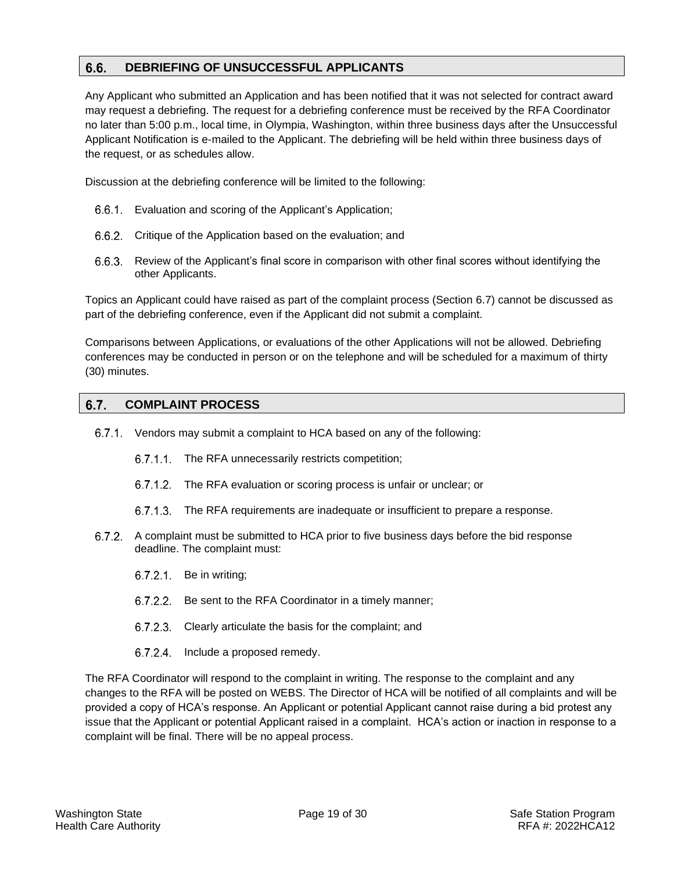### <span id="page-18-0"></span> $6.6.$ **DEBRIEFING OF UNSUCCESSFUL APPLICANTS**

Any Applicant who submitted an Application and has been notified that it was not selected for contract award may request a debriefing. The request for a debriefing conference must be received by the RFA Coordinator no later than 5:00 p.m., local time, in Olympia, Washington, within three business days after the Unsuccessful Applicant Notification is e-mailed to the Applicant. The debriefing will be held within three business days of the request, or as schedules allow.

Discussion at the debriefing conference will be limited to the following:

- Evaluation and scoring of the Applicant's Application;
- 6.6.2. Critique of the Application based on the evaluation; and
- 6.6.3. Review of the Applicant's final score in comparison with other final scores without identifying the other Applicants.

Topics an Applicant could have raised as part of the complaint process (Section 6.7) cannot be discussed as part of the debriefing conference, even if the Applicant did not submit a complaint.

Comparisons between Applications, or evaluations of the other Applications will not be allowed. Debriefing conferences may be conducted in person or on the telephone and will be scheduled for a maximum of thirty (30) minutes.

#### <span id="page-18-1"></span> $6.7.$ **COMPLAINT PROCESS**

- Vendors may submit a complaint to HCA based on any of the following:
	- 6.7.1.1. The RFA unnecessarily restricts competition;
	- 6.7.1.2. The RFA evaluation or scoring process is unfair or unclear; or
	- 6.7.1.3. The RFA requirements are inadequate or insufficient to prepare a response.
- 6.7.2. A complaint must be submitted to HCA prior to five business days before the bid response deadline. The complaint must:
	- 6.7.2.1. Be in writing;
	- 6.7.2.2. Be sent to the RFA Coordinator in a timely manner;
	- 6.7.2.3. Clearly articulate the basis for the complaint; and
	- 6.7.2.4. Include a proposed remedy.

The RFA Coordinator will respond to the complaint in writing. The response to the complaint and any changes to the RFA will be posted on WEBS. The Director of HCA will be notified of all complaints and will be provided a copy of HCA's response. An Applicant or potential Applicant cannot raise during a bid protest any issue that the Applicant or potential Applicant raised in a complaint. HCA's action or inaction in response to a complaint will be final. There will be no appeal process.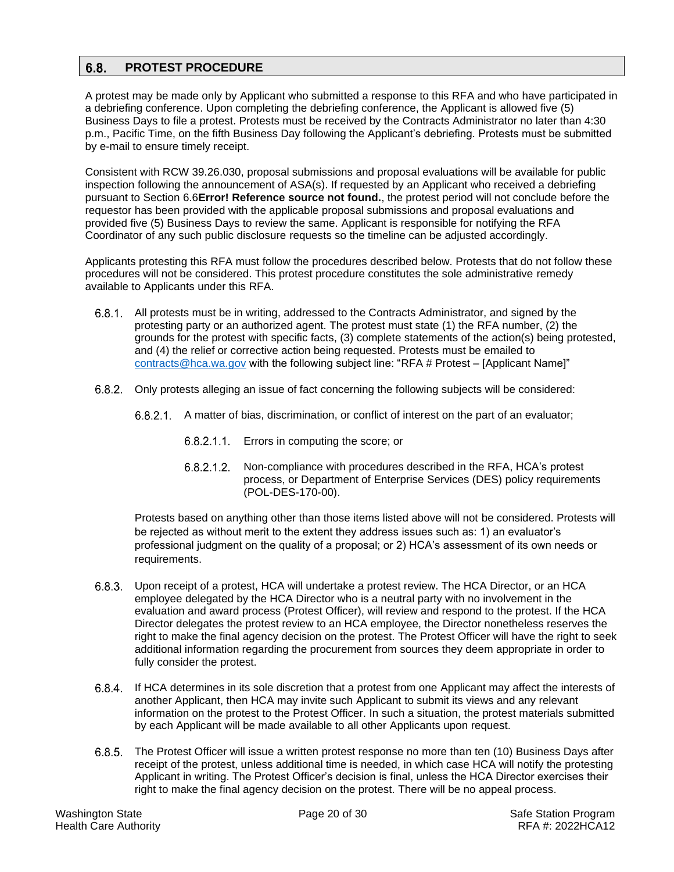### <span id="page-19-0"></span> $6.8.$ **PROTEST PROCEDURE**

A protest may be made only by Applicant who submitted a response to this RFA and who have participated in a debriefing conference. Upon completing the debriefing conference, the Applicant is allowed five (5) Business Days to file a protest. Protests must be received by the Contracts Administrator no later than 4:30 p.m., Pacific Time, on the fifth Business Day following the Applicant's debriefing. Protests must be submitted by e-mail to ensure timely receipt.

Consistent with RCW 39.26.030, proposal submissions and proposal evaluations will be available for public inspection following the announcement of ASA(s). If requested by an Applicant who received a debriefing pursuant to Section 6.6**Error! Reference source not found.**, the protest period will not conclude before the requestor has been provided with the applicable proposal submissions and proposal evaluations and provided five (5) Business Days to review the same. Applicant is responsible for notifying the RFA Coordinator of any such public disclosure requests so the timeline can be adjusted accordingly.

Applicants protesting this RFA must follow the procedures described below. Protests that do not follow these procedures will not be considered. This protest procedure constitutes the sole administrative remedy available to Applicants under this RFA.

- 6.8.1. All protests must be in writing, addressed to the Contracts Administrator, and signed by the protesting party or an authorized agent. The protest must state (1) the RFA number, (2) the grounds for the protest with specific facts, (3) complete statements of the action(s) being protested, and (4) the relief or corrective action being requested. Protests must be emailed to [contracts@hca.wa.gov](mailto:contracts@hca.wa.gov) with the following subject line: "RFA # Protest – [Applicant Name]"
- 6.8.2. Only protests alleging an issue of fact concerning the following subjects will be considered:
	- 6.8.2.1. A matter of bias, discrimination, or conflict of interest on the part of an evaluator;
		- 6.8.2.1.1. Errors in computing the score; or
		- 6.8.2.1.2. Non-compliance with procedures described in the RFA, HCA's protest process, or Department of Enterprise Services (DES) policy requirements (POL-DES-170-00).

Protests based on anything other than those items listed above will not be considered. Protests will be rejected as without merit to the extent they address issues such as: 1) an evaluator's professional judgment on the quality of a proposal; or 2) HCA's assessment of its own needs or requirements.

- 6.8.3. Upon receipt of a protest, HCA will undertake a protest review. The HCA Director, or an HCA employee delegated by the HCA Director who is a neutral party with no involvement in the evaluation and award process (Protest Officer), will review and respond to the protest. If the HCA Director delegates the protest review to an HCA employee, the Director nonetheless reserves the right to make the final agency decision on the protest. The Protest Officer will have the right to seek additional information regarding the procurement from sources they deem appropriate in order to fully consider the protest.
- 6.8.4. If HCA determines in its sole discretion that a protest from one Applicant may affect the interests of another Applicant, then HCA may invite such Applicant to submit its views and any relevant information on the protest to the Protest Officer. In such a situation, the protest materials submitted by each Applicant will be made available to all other Applicants upon request.
- The Protest Officer will issue a written protest response no more than ten (10) Business Days after receipt of the protest, unless additional time is needed, in which case HCA will notify the protesting Applicant in writing. The Protest Officer's decision is final, unless the HCA Director exercises their right to make the final agency decision on the protest. There will be no appeal process.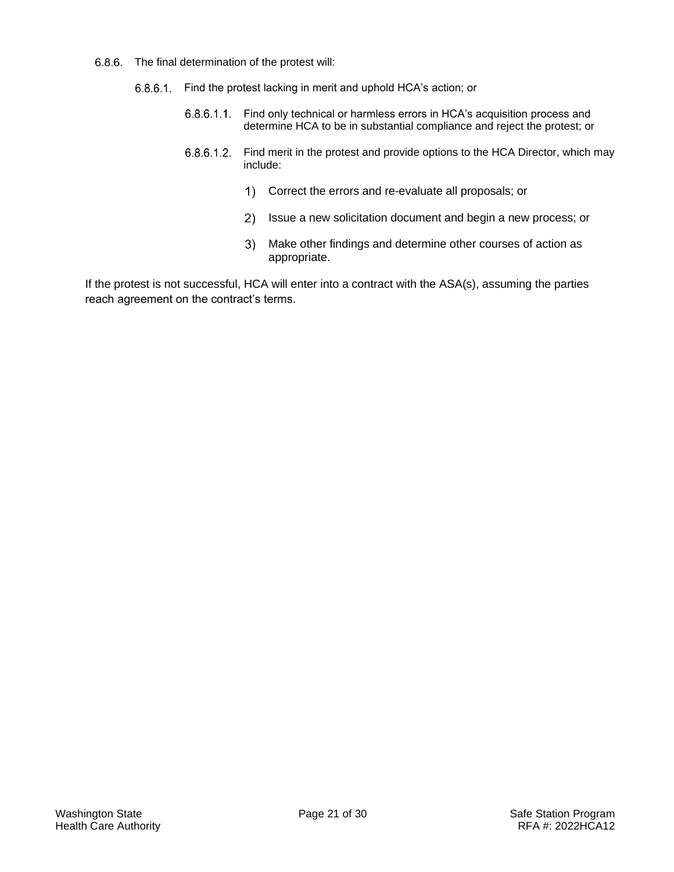- 6.8.6. The final determination of the protest will:
	- 6.8.6.1. Find the protest lacking in merit and uphold HCA's action; or
		- Find only technical or harmless errors in HCA's acquisition process and  $6.8.6.1.1.$ determine HCA to be in substantial compliance and reject the protest; or
		- $6.8.6.1.2.$ Find merit in the protest and provide options to the HCA Director, which may include:
			- Correct the errors and re-evaluate all proposals; or
			- 2) Issue a new solicitation document and begin a new process; or
			- $3)$ Make other findings and determine other courses of action as appropriate.

If the protest is not successful, HCA will enter into a contract with the ASA(s), assuming the parties reach agreement on the contract's terms.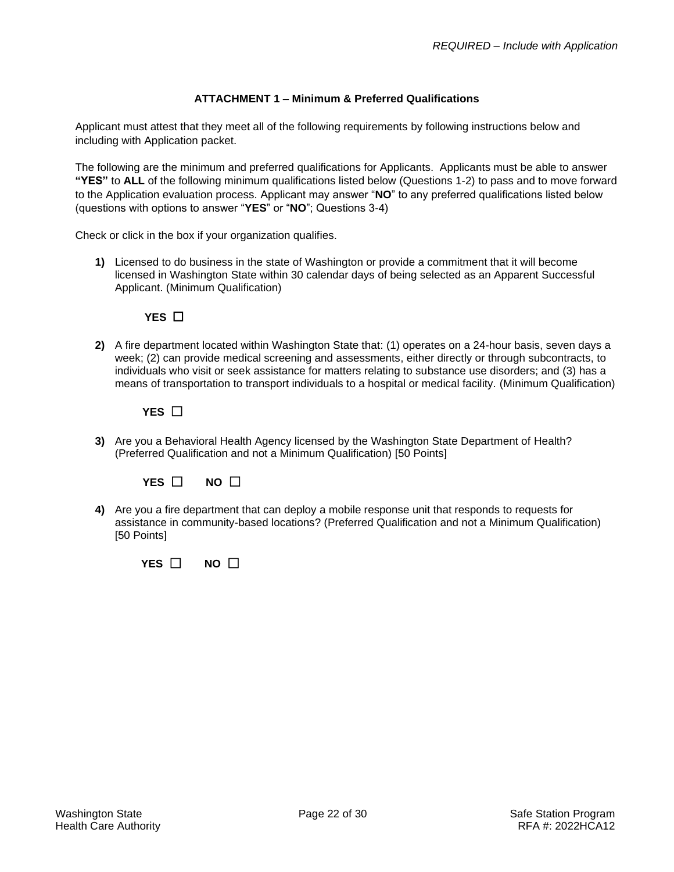## **ATTACHMENT 1 – Minimum & Preferred Qualifications**

<span id="page-21-0"></span>Applicant must attest that they meet all of the following requirements by following instructions below and including with Application packet.

The following are the minimum and preferred qualifications for Applicants. Applicants must be able to answer **"YES"** to **ALL** of the following minimum qualifications listed below (Questions 1-2) to pass and to move forward to the Application evaluation process. Applicant may answer "**NO**" to any preferred qualifications listed below (questions with options to answer "**YES**" or "**NO**"; Questions 3-4)

Check or click in the box if your organization qualifies.

**1)** Licensed to do business in the state of Washington or provide a commitment that it will become licensed in Washington State within 30 calendar days of being selected as an Apparent Successful Applicant. (Minimum Qualification)

# **YES** □

**2)** A fire department located within Washington State that: (1) operates on a 24-hour basis, seven days a week; (2) can provide medical screening and assessments, either directly or through subcontracts, to individuals who visit or seek assistance for matters relating to substance use disorders; and (3) has a means of transportation to transport individuals to a hospital or medical facility. (Minimum Qualification)

# **YES** ☐

**3)** Are you a Behavioral Health Agency licensed by the Washington State Department of Health? (Preferred Qualification and not a Minimum Qualification) [50 Points]



**4)** Are you a fire department that can deploy a mobile response unit that responds to requests for assistance in community-based locations? (Preferred Qualification and not a Minimum Qualification) [50 Points]

 **YES** ☐ **NO** ☐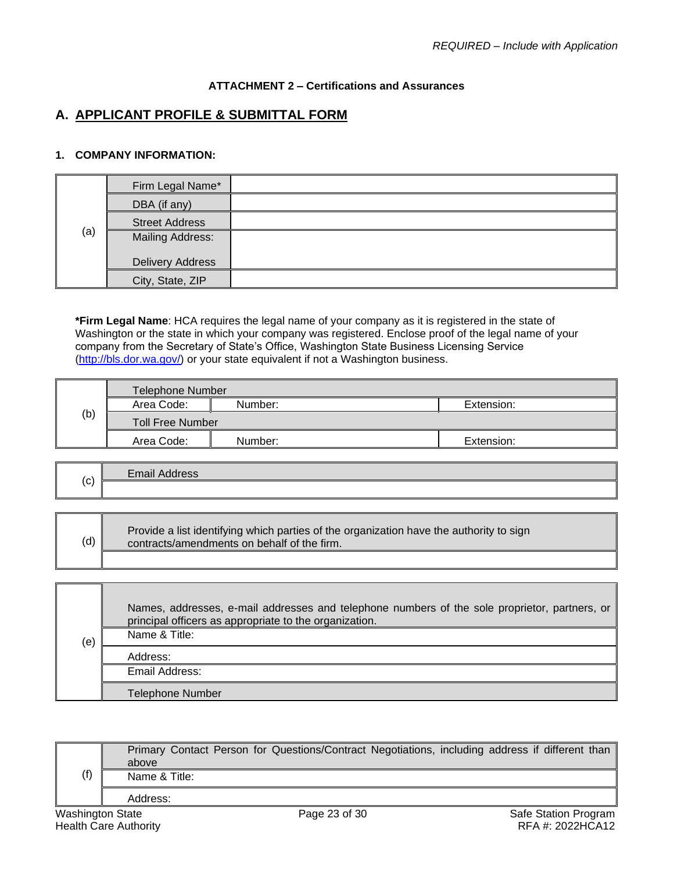# **ATTACHMENT 2 – Certifications and Assurances**

# <span id="page-22-0"></span>**A. APPLICANT PROFILE & SUBMITTAL FORM**

## **1. COMPANY INFORMATION:**

|     | Firm Legal Name*        |  |
|-----|-------------------------|--|
|     | DBA (if any)            |  |
|     | <b>Street Address</b>   |  |
| (a) | <b>Mailing Address:</b> |  |
|     | Delivery Address        |  |
|     | City, State, ZIP        |  |

**\*Firm Legal Name**: HCA requires the legal name of your company as it is registered in the state of Washington or the state in which your company was registered. Enclose proof of the legal name of your company from the Secretary of State's Office, Washington State Business Licensing Service [\(http://bls.dor.wa.gov/\)](http://bls.dor.wa.gov/) or your state equivalent if not a Washington business.

|     | <b>Telephone Number</b> |         |            |  |
|-----|-------------------------|---------|------------|--|
|     | Area Code:              | Number: | Extension: |  |
| (b) | <b>Toll Free Number</b> |         |            |  |
|     | Area Code:              | Number: | Extension: |  |
|     |                         |         |            |  |

|     | Email A |
|-----|---------|
| (C) |         |
|     |         |

| (d) | Provide a list identifying which parties of the organization have the authority to sign<br>contracts/amendments on behalf of the firm. |
|-----|----------------------------------------------------------------------------------------------------------------------------------------|
|     |                                                                                                                                        |

| (e) | Names, addresses, e-mail addresses and telephone numbers of the sole proprietor, partners, or<br>principal officers as appropriate to the organization. |
|-----|---------------------------------------------------------------------------------------------------------------------------------------------------------|
|     | Name & Title:                                                                                                                                           |
|     | Address:                                                                                                                                                |
|     | Email Address:                                                                                                                                          |
|     | <b>Telephone Number</b>                                                                                                                                 |

| (f)              | above         | Primary Contact Person for Questions/Contract Negotiations, including address if different than |  |                      |  |
|------------------|---------------|-------------------------------------------------------------------------------------------------|--|----------------------|--|
|                  | Name & Title: |                                                                                                 |  |                      |  |
|                  | Address:      |                                                                                                 |  |                      |  |
| Washington State |               | Page 23 of 30                                                                                   |  | Safe Station Program |  |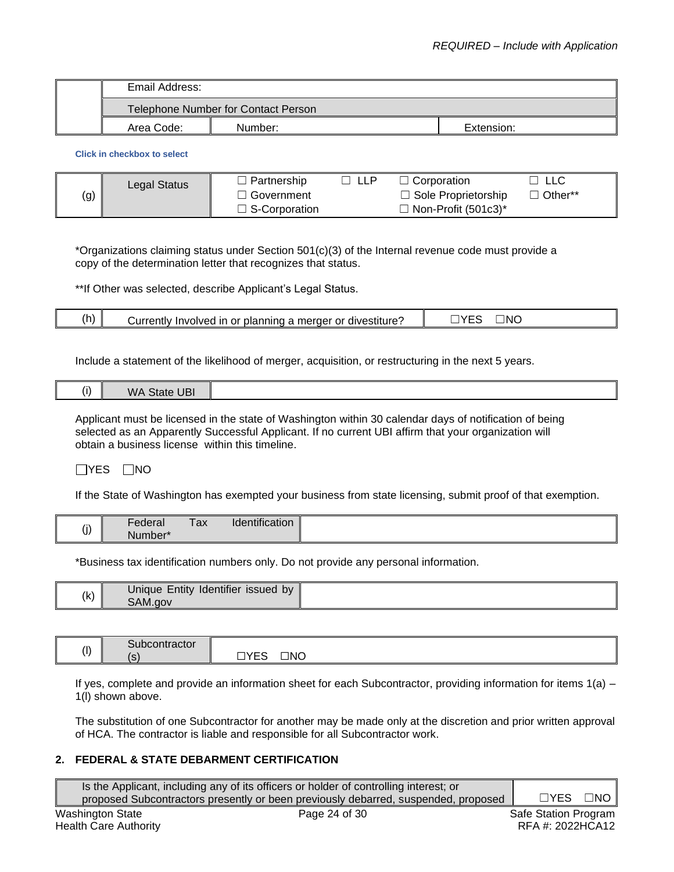| Email Address: |                                     |            |  |  |
|----------------|-------------------------------------|------------|--|--|
|                | Telephone Number for Contact Person |            |  |  |
| Area Code:     | Number:                             | Extension: |  |  |

**Click in checkbox to select**

|     | Legal Status | Partnership          | Corporation                | LLC       |
|-----|--------------|----------------------|----------------------------|-----------|
| (g) |              | Government           | $\Box$ Sole Proprietorship | . Other** |
|     |              | $\Box$ S-Corporation | Non-Profit (501c3)*        |           |

\*Organizations claiming status under Section 501(c)(3) of the Internal revenue code must provide a copy of the determination letter that recognizes that status.

\*\*If Other was selected, describe Applicant's Legal Status.

|  | <br>(h) | divestiture<br>or<br>$\cdot$ urronth $\cdot$<br>.<br>$ -$<br>`nınc<br>aer<br>lolan i<br>estiture<br>ın<br>Dľ<br>oivea<br>mer<br>.rivr<br>עו<br>. . | ١N<br>$\overline{\phantom{a}}$<br>$\mathbf{v}$ |
|--|---------|----------------------------------------------------------------------------------------------------------------------------------------------------|------------------------------------------------|
|--|---------|----------------------------------------------------------------------------------------------------------------------------------------------------|------------------------------------------------|

Include a statement of the likelihood of merger, acquisition, or restructuring in the next 5 years.

| $\cdots$<br>Ð |
|---------------|
|---------------|

Applicant must be licensed in the state of Washington within 30 calendar days of notification of being selected as an Apparently Successful Applicant. If no current UBI affirm that your organization will obtain a business license within this timeline.

 $\Box$ YES  $\Box$ NO

If the State of Washington has exempted your business from state licensing, submit proof of that exemption.

|          | -                   | __ | $-0.000$       |
|----------|---------------------|----|----------------|
| $\cdots$ | ederal              | ax | Identification |
| (j)      | Number <sup>*</sup> |    |                |

\*Business tax identification numbers only. Do not provide any personal information.

| (k) | Identifier<br>Entity<br>issued by<br>Unique |  |
|-----|---------------------------------------------|--|
|     | SAM.gov                                     |  |

| (1) | <b>Subcontractor</b> |                                      |
|-----|----------------------|--------------------------------------|
|     | $\epsilon$<br>C      | $\square$ NO<br>mvr o<br>ີ<br>-<br>_ |

If yes, complete and provide an information sheet for each Subcontractor, providing information for items 1(a) – 1(l) shown above.

The substitution of one Subcontractor for another may be made only at the discretion and prior written approval of HCA. The contractor is liable and responsible for all Subcontractor work.

# **2. FEDERAL & STATE DEBARMENT CERTIFICATION**

|                  | Is the Applicant, including any of its officers or holder of controlling interest; or |                      |                   |
|------------------|---------------------------------------------------------------------------------------|----------------------|-------------------|
|                  | proposed Subcontractors presently or been previously debarred, suspended, proposed    | $\Box$ YES           | $\Box$ N $\Omega$ |
| Washington State | Page 24 of 30                                                                         | Safe Station Program |                   |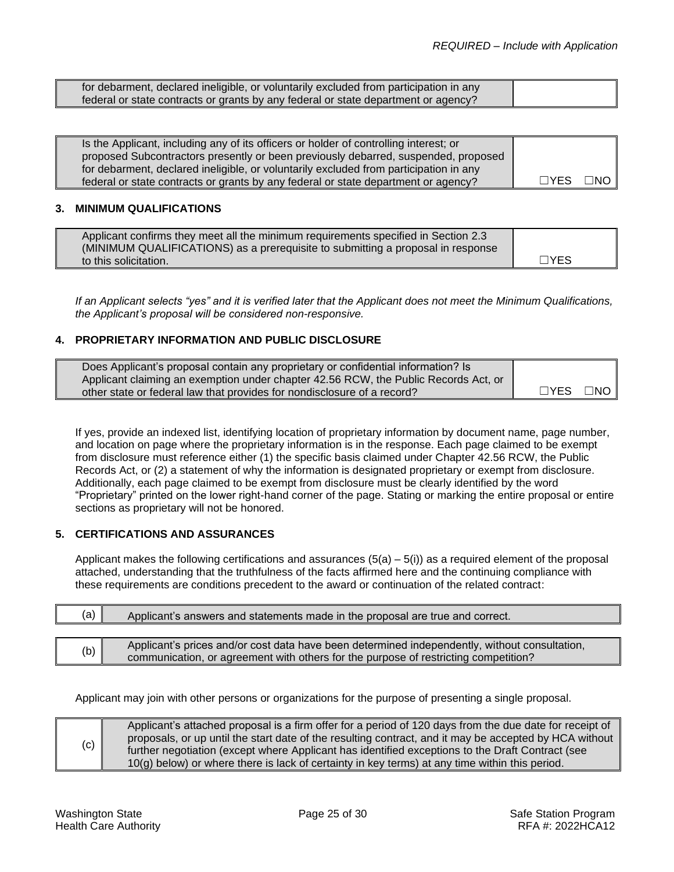| for debarment, declared ineligible, or voluntarily excluded from participation in any |  |
|---------------------------------------------------------------------------------------|--|
| federal or state contracts or grants by any federal or state department or agency?    |  |

| Is the Applicant, including any of its officers or holder of controlling interest; or |      |                  |
|---------------------------------------------------------------------------------------|------|------------------|
| proposed Subcontractors presently or been previously debarred, suspended, proposed    |      |                  |
| for debarment, declared ineligible, or voluntarily excluded from participation in any |      |                  |
| federal or state contracts or grants by any federal or state department or agency?    | □YES | $\neg$ NO $\neg$ |

### **3. MINIMUM QUALIFICATIONS**

| Applicant confirms they meet all the minimum requirements specified in Section 2.3 |            |
|------------------------------------------------------------------------------------|------------|
| (MINIMUM QUALIFICATIONS) as a prerequisite to submitting a proposal in response    |            |
| to this solicitation.                                                              | $\Box$ YES |

*If an Applicant selects "yes" and it is verified later that the Applicant does not meet the Minimum Qualifications, the Applicant's proposal will be considered non-responsive.*

## **4. PROPRIETARY INFORMATION AND PUBLIC DISCLOSURE**

| Does Applicant's proposal contain any proprietary or confidential information? Is   |            |      |
|-------------------------------------------------------------------------------------|------------|------|
| Applicant claiming an exemption under chapter 42.56 RCW, the Public Records Act, or |            |      |
| other state or federal law that provides for nondisclosure of a record?             | $\Box$ YES | ⊟NO⊥ |

If yes, provide an indexed list, identifying location of proprietary information by document name, page number, and location on page where the proprietary information is in the response. Each page claimed to be exempt from disclosure must reference either (1) the specific basis claimed under Chapter [42.56 RCW,](http://apps.leg.wa.gov/rcw/default.aspx?cite=42.56) the Public Records Act, or (2) a statement of why the information is designated proprietary or exempt from disclosure. Additionally, each page claimed to be exempt from disclosure must be clearly identified by the word "Proprietary" printed on the lower right-hand corner of the page. Stating or marking the entire proposal or entire sections as proprietary will not be honored.

### **5. CERTIFICATIONS AND ASSURANCES**

Applicant makes the following certifications and assurances  $(5(a) - 5(i))$  as a required element of the proposal attached, understanding that the truthfulness of the facts affirmed here and the continuing compliance with these requirements are conditions precedent to the award or continuation of the related contract:

| (a)<br>Applicant's answers and statements made in the proposal are true and correct. |                                                                                               |  |
|--------------------------------------------------------------------------------------|-----------------------------------------------------------------------------------------------|--|
|                                                                                      |                                                                                               |  |
|                                                                                      | Applicant's prices and/or cost data have been determined independently, without consultation, |  |
| (b)                                                                                  | communication, or agreement with others for the purpose of restricting competition?           |  |

Applicant may join with other persons or organizations for the purpose of presenting a single proposal.

(c) Applicant's attached proposal is a firm offer for a period of 120 days from the due date for receipt of proposals, or up until the start date of the resulting contract, and it may be accepted by HCA without further negotiation (except where Applicant has identified exceptions to the Draft Contract (see 10(g) below) or where there is lack of certainty in key terms) at any time within this period.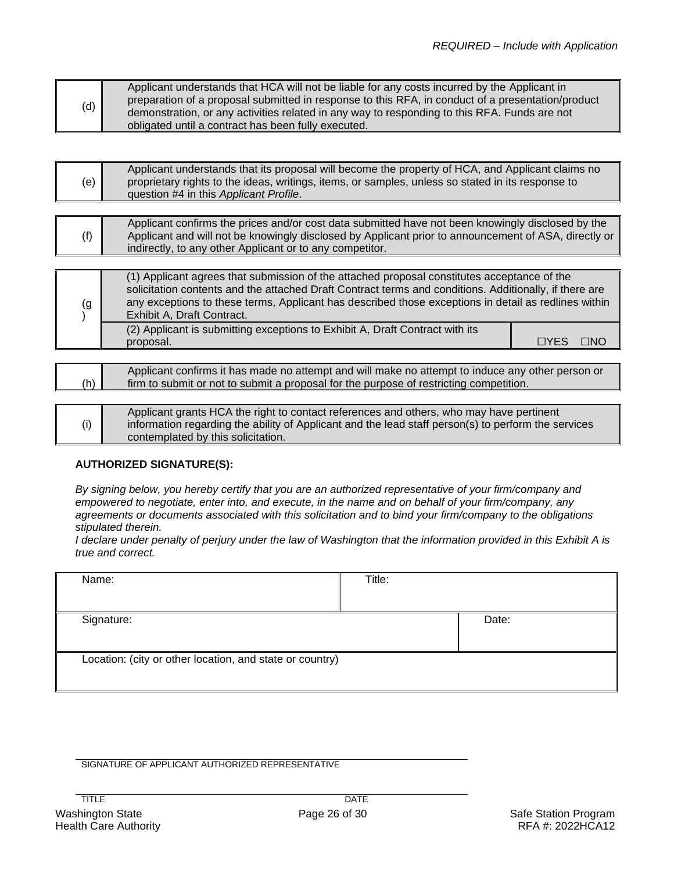|     | Applicant understands that HCA will not be liable for any costs incurred by the Applicant in      |
|-----|---------------------------------------------------------------------------------------------------|
| (d) | preparation of a proposal submitted in response to this RFA, in conduct of a presentation/product |
|     | demonstration, or any activities related in any way to responding to this RFA. Funds are not      |
|     | obligated until a contract has been fully executed.                                               |

| (e) | Applicant understands that its proposal will become the property of HCA, and Applicant claims no<br>proprietary rights to the ideas, writings, items, or samples, unless so stated in its response to<br>question #4 in this Applicant Profile. |
|-----|-------------------------------------------------------------------------------------------------------------------------------------------------------------------------------------------------------------------------------------------------|
|     |                                                                                                                                                                                                                                                 |

| Applicant confirms the prices and/or cost data submitted have not been knowingly disclosed by the<br>(f)<br>Applicant and will not be knowingly disclosed by Applicant prior to announcement of ASA, directly or<br>indirectly, to any other Applicant or to any competitor. |
|------------------------------------------------------------------------------------------------------------------------------------------------------------------------------------------------------------------------------------------------------------------------------|
|------------------------------------------------------------------------------------------------------------------------------------------------------------------------------------------------------------------------------------------------------------------------------|

| (2) Applicant is submitting exceptions to Exhibit A, Draft Contract with its | (g | (1) Applicant agrees that submission of the attached proposal constitutes acceptance of the<br>solicitation contents and the attached Draft Contract terms and conditions. Additionally, if there are<br>any exceptions to these terms, Applicant has described those exceptions in detail as redlines within<br>Exhibit A, Draft Contract. |             |           |
|------------------------------------------------------------------------------|----|---------------------------------------------------------------------------------------------------------------------------------------------------------------------------------------------------------------------------------------------------------------------------------------------------------------------------------------------|-------------|-----------|
|                                                                              |    | proposal.                                                                                                                                                                                                                                                                                                                                   | <b>TYES</b> | $\Box$ NO |

| Applicant confirms it has made no attempt and will make no attempt to induce any other person or<br>(h)<br>firm to submit or not to submit a proposal for the purpose of restricting competition. |                                                                                                                                                                                                                                      |
|---------------------------------------------------------------------------------------------------------------------------------------------------------------------------------------------------|--------------------------------------------------------------------------------------------------------------------------------------------------------------------------------------------------------------------------------------|
|                                                                                                                                                                                                   |                                                                                                                                                                                                                                      |
| (i)                                                                                                                                                                                               | Applicant grants HCA the right to contact references and others, who may have pertinent<br>information regarding the ability of Applicant and the lead staff person(s) to perform the services<br>contemplated by this solicitation. |

# **AUTHORIZED SIGNATURE(S):**

*By signing below, you hereby certify that you are an authorized representative of your firm/company and empowered to negotiate, enter into, and execute, in the name and on behalf of your firm/company, any agreements or documents associated with this solicitation and to bind your firm/company to the obligations stipulated therein.*

*I declare under penalty of perjury under the law of Washington that the information provided in this Exhibit A is true and correct.* 

| Name:                                                    | Title: |       |
|----------------------------------------------------------|--------|-------|
|                                                          |        |       |
| Signature:                                               |        | Date: |
|                                                          |        |       |
| Location: (city or other location, and state or country) |        |       |
|                                                          |        |       |

SIGNATURE OF APPLICANT AUTHORIZED REPRESENTATIVE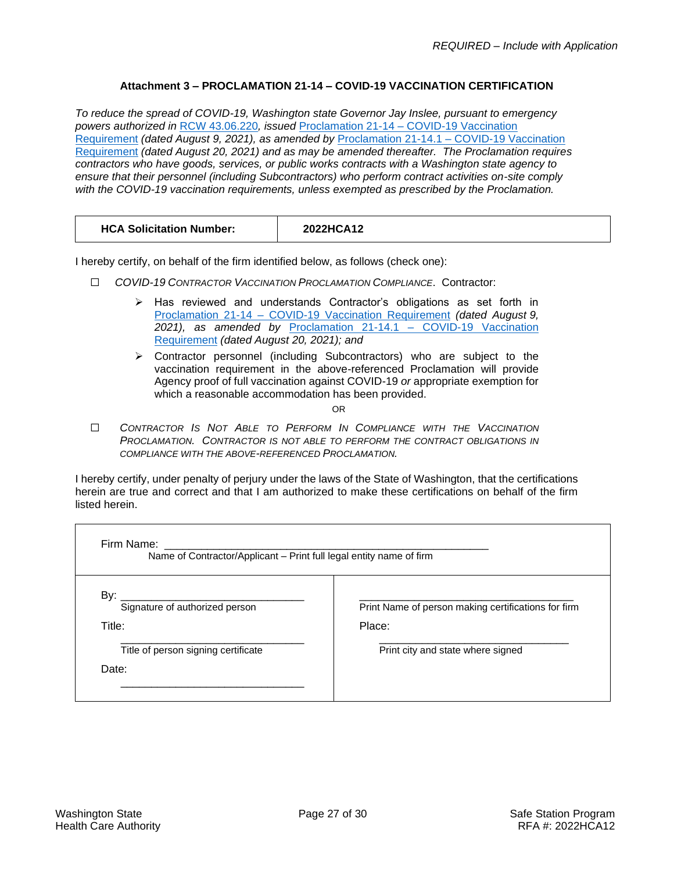# **Attachment 3 – PROCLAMATION 21-14 – COVID-19 VACCINATION CERTIFICATION**

<span id="page-26-0"></span>*To reduce the spread of COVID-19, Washington state Governor Jay Inslee, pursuant to emergency powers authorized in* RCW [43.06.220](https://app.leg.wa.gov/RCW/default.aspx?cite=43.06.220)*, issued* Proclamation 21-14 – [COVID-19 Vaccination](https://www.governor.wa.gov/sites/default/files/proclamations/21-14%20-%20COVID-19%20Vax%20Washington%20%28tmp%29.pdf)  [Requirement](https://www.governor.wa.gov/sites/default/files/proclamations/21-14%20-%20COVID-19%20Vax%20Washington%20%28tmp%29.pdf) *(dated August 9, 2021), as amended by* Proclamation 21-14.1 – [COVID-19 Vaccination](https://www.governor.wa.gov/sites/default/files/proclamations/21-14.1%20-%20COVID-19%20Vax%20Washington%20Amendment.pdf)  [Requirement](https://www.governor.wa.gov/sites/default/files/proclamations/21-14.1%20-%20COVID-19%20Vax%20Washington%20Amendment.pdf) *(dated August 20, 2021) and as may be amended thereafter. The Proclamation requires contractors who have goods, services, or public works contracts with a Washington state agency to ensure that their personnel (including Subcontractors) who perform contract activities on-site comply with the COVID-19 vaccination requirements, unless exempted as prescribed by the Proclamation.*

| <b>HCA Solicitation Number:</b> | 2022HCA12 |
|---------------------------------|-----------|
|---------------------------------|-----------|

I hereby certify, on behalf of the firm identified below, as follows (check one):

- ☐ *COVID-19 CONTRACTOR VACCINATION PROCLAMATION COMPLIANCE*. Contractor:
	- ➢ Has reviewed and understands Contractor's obligations as set forth in Proclamation 21-14 – [COVID-19 Vaccination Requirement](https://www.governor.wa.gov/sites/default/files/proclamations/21-14%20-%20COVID-19%20Vax%20Washington%20%28tmp%29.pdf) *(dated August 9, 2021), as amended by* [Proclamation 21-14.1 –](https://www.governor.wa.gov/sites/default/files/proclamations/21-14.1%20-%20COVID-19%20Vax%20Washington%20Amendment.pdf) COVID-19 Vaccination [Requirement](https://www.governor.wa.gov/sites/default/files/proclamations/21-14.1%20-%20COVID-19%20Vax%20Washington%20Amendment.pdf) *(dated August 20, 2021); and*
	- ➢ Contractor personnel (including Subcontractors) who are subject to the vaccination requirement in the above-referenced Proclamation will provide Agency proof of full vaccination against COVID-19 *or* appropriate exemption for which a reasonable accommodation has been provided.

OR

☐ *CONTRACTOR IS NOT ABLE TO PERFORM IN COMPLIANCE WITH THE VACCINATION PROCLAMATION. CONTRACTOR IS NOT ABLE TO PERFORM THE CONTRACT OBLIGATIONS IN COMPLIANCE WITH THE ABOVE-REFERENCED PROCLAMATION.*

I hereby certify, under penalty of perjury under the laws of the State of Washington, that the certifications herein are true and correct and that I am authorized to make these certifications on behalf of the firm listed herein.

| Name of Contractor/Applicant - Print full legal entity name of firm |                                                               |
|---------------------------------------------------------------------|---------------------------------------------------------------|
| By:<br>Signature of authorized person<br>Title:                     | Print Name of person making certifications for firm<br>Place: |
| Title of person signing certificate<br>Date:                        | Print city and state where signed                             |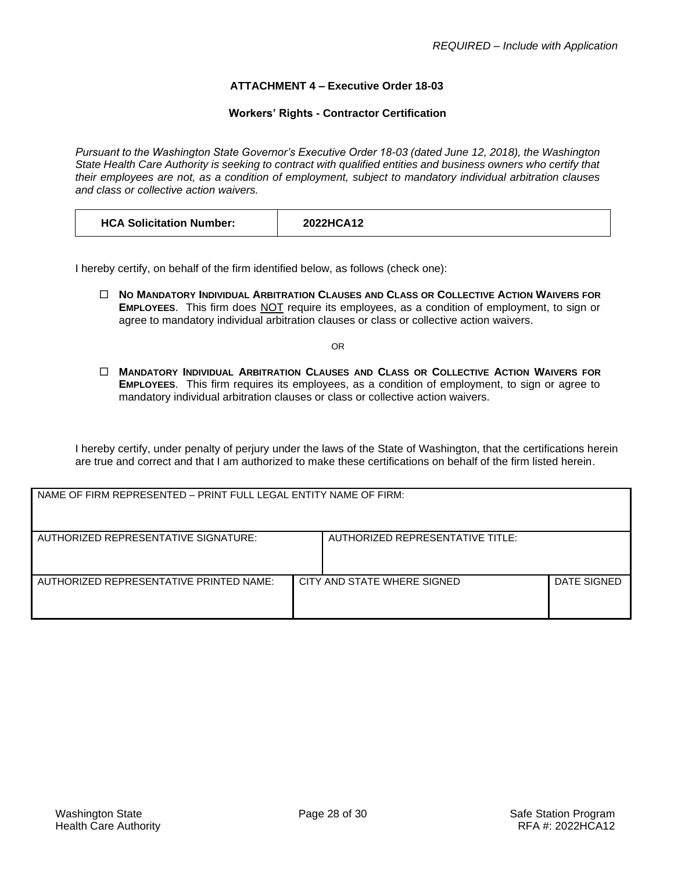## **ATTACHMENT 4 – Executive Order 18-03**

### **Workers' Rights - Contractor Certification**

<span id="page-27-0"></span>*Pursuant to the Washington State Governor's Executive Order 18-03 (dated June 12, 2018), the Washington State Health Care Authority is seeking to contract with qualified entities and business owners who certify that their employees are not, as a condition of employment, subject to mandatory individual arbitration clauses and class or collective action waivers.*

| <b>HCA Solicitation Number:</b> | 2022HCA12 |
|---------------------------------|-----------|
|---------------------------------|-----------|

I hereby certify, on behalf of the firm identified below, as follows (check one):

 **NO MANDATORY INDIVIDUAL ARBITRATION CLAUSES AND CLASS OR COLLECTIVE ACTION WAIVERS FOR EMPLOYEES**. This firm does NOT require its employees, as a condition of employment, to sign or agree to mandatory individual arbitration clauses or class or collective action waivers.

OR

 **MANDATORY INDIVIDUAL ARBITRATION CLAUSES AND CLASS OR COLLECTIVE ACTION WAIVERS FOR EMPLOYEES**. This firm requires its employees, as a condition of employment, to sign or agree to mandatory individual arbitration clauses or class or collective action waivers.

I hereby certify, under penalty of perjury under the laws of the State of Washington, that the certifications herein are true and correct and that I am authorized to make these certifications on behalf of the firm listed herein.

| NAME OF FIRM REPRESENTED - PRINT FULL LEGAL ENTITY NAME OF FIRM: |  |                                  |             |
|------------------------------------------------------------------|--|----------------------------------|-------------|
| AUTHORIZED REPRESENTATIVE SIGNATURE:                             |  | AUTHORIZED REPRESENTATIVE TITLE: |             |
| AUTHORIZED REPRESENTATIVE PRINTED NAME:                          |  | CITY AND STATE WHERE SIGNED      | DATE SIGNED |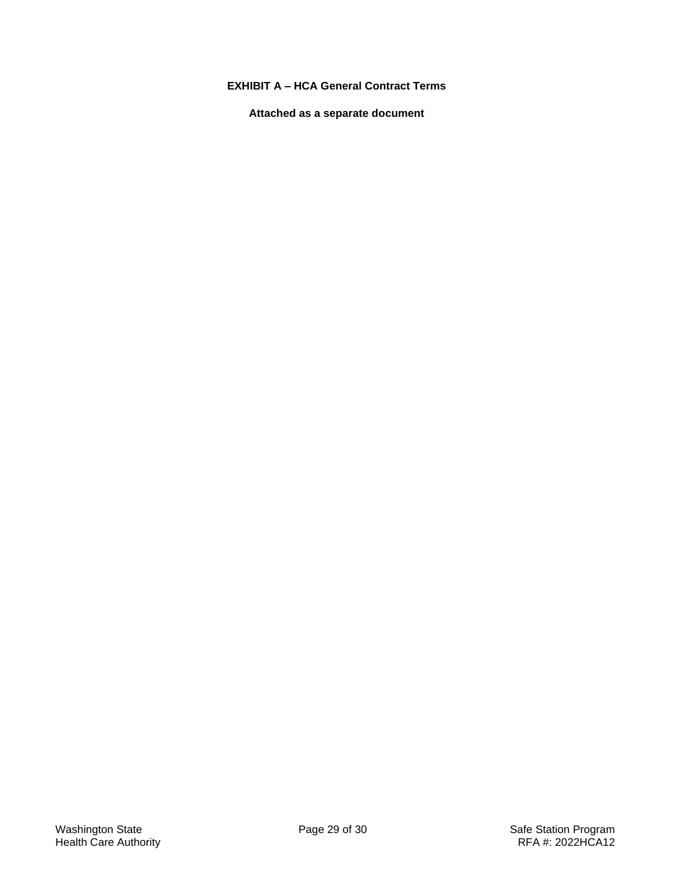# <span id="page-28-0"></span>**EXHIBIT A – HCA General Contract Terms**

**Attached as a separate document**